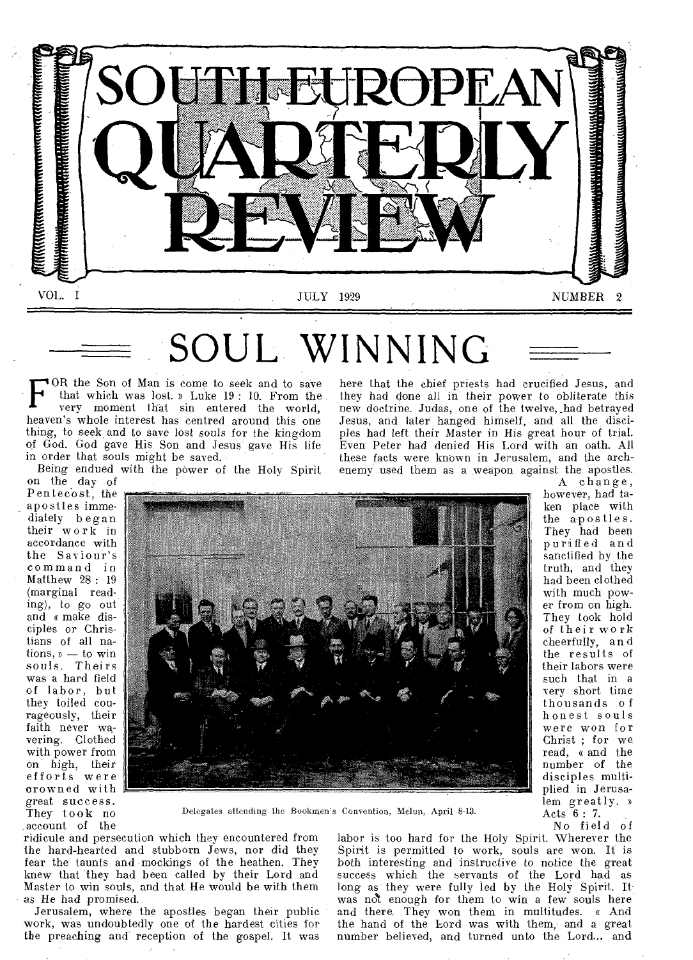

# OUL WINNIN

F OR the Son of Man is come to seek and to save that which was lost. » Luke 19: 10. From the very moment that sin entered the world, heaven's whole interest has centred around this one thing, to seek and to save lost souls for the kingdom of God. God gave His Son and Jesus gave His life in order that souls might be saved.

Being endued with the power of the Holy Spirit

they had done all in their power to obliterate this new doctrine. Judas, one of the twelve, \_had betrayed Jesus, and later hanged himself, and all the disciples had left their Master in His great hour of trial. Even Peter had denied His Lord with an oath. All these facts were known in Jerusalem, and the archenemy used them as a weapon against the apostles.

on the day of Pentecost, the \_ apostles immediately b egan their work in accordance with the Saviour's command in Matthew 28: 19 (marginal reading), to go out and « make disciples or Christians of all nations, » — to win souls. Theirs was a hard field of labor, but they toiled courageously, their faith never wavering. Clothed with power from on high, their efforts were crowned with great success. They took no ,account of the



Delegates attending the Bookmen's Convention, Melon, April 8-13.

ridicule and persecution which they encountered from the hard-hearted and stubborn Jews, nor did they fear the taunts and mockings of the heathen. They knew that they had been called by their Lord and Master to win souls, and that He would be with them as He had promised.

Jerusalem, where the apostles began their public work, was undoubtedly one of the hardest cities for the preaching and reception of the gospel. It was

labor is too hard for the Holy Spirit. Wherever the Spirit is permitted to work, souls are won. It is both interesting and instructive to notice the great success which the servants of the Lord had as long as they were fully led by the Holy Spirit. It was not enough for them to win a few souls here and there. They won them in multitudes. « And the hand of the Lord was with them, and a great number believed, and turned unto the Lord... and

here that the chief priests had crucified Jesus, and A change,

however, had taken place with the apostles. They had been purified and sanctified by the truth, and they had been clothed with much power from on high. They took hold of their work cheerfully, an d the results of their labors were such that in a very short time thousands of honest souls were won for Christ ; for we read, « and the number of the disciples multiplied in Jerusalem greatly. » Acts 6 : 7. No field of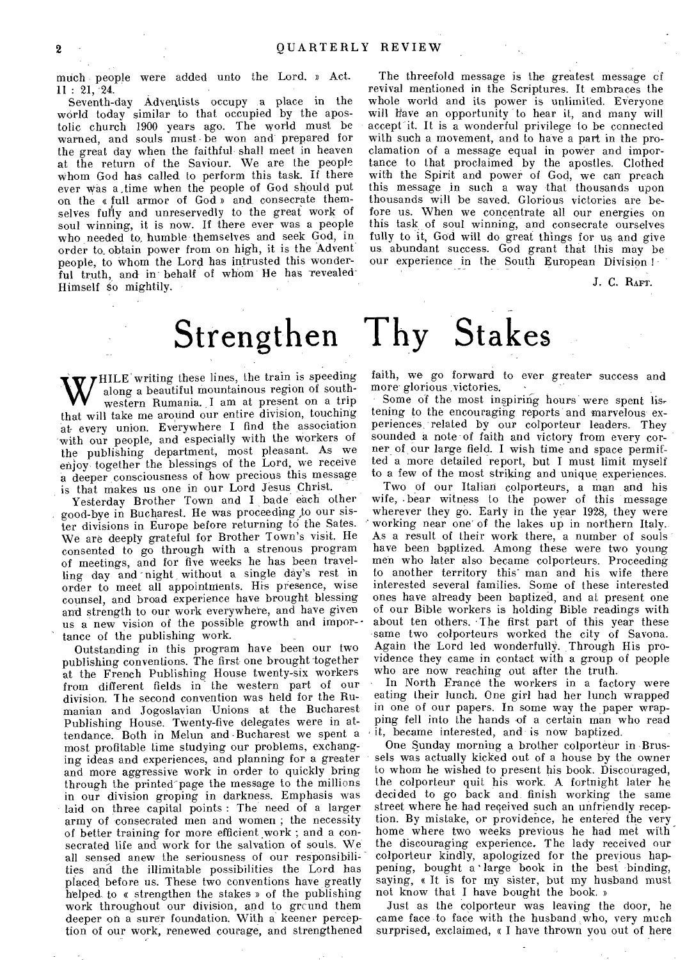much people were added unto the Lord. » Act. 11 : 21, 24.

Seventh-day Adventists occupy a place in the world today similar to that occupied by the apostolic church 1900 years ago. The world must be warned, and souls must be won and prepared for the great day when the faithful shall meet in heaven at the return of the Saviour. We are the people whom God has called to perform this task. If there ever was a.time when the people of God should put on the « full armor of God » and consecrate themselves fully and unreservedly to the great work of soul winning, it is now. If there ever was a people who needed to humble themselves and seek God, in order to, obtain power from on high, it is the Advent people, to whom the Lord has intrusted this wonderful truth, and in behalf of whom He has revealed Himself So mightily.

The threefold message is the greatest message of revival mentioned in the Scriptures. It embraces the whole world and its power is unlimited. Everyone will have an opportunity to hear it, and many will accept it. It is a wonderful privilege to be connected with such a movement, and to have a part in the proclamation of a message equal in power and importance to that proclaimed by the apostles. Clothed with the Spirit and power of God, we can preach this message in such a way that thousands upon thousands will be saved. Glorious victories are before us. When we concentrate all our energies on this task of soul winning, and consecrate ourselves fully to it, God will do great things for us and give us abundant success. God grant that this may be our experience in the South European Division !

J. C. RAFT.

## **Strengthen Thy Stakes**

W HILE writing these lines, the train is speeding<br>western Rumania, I am at present on a trip<br>that will take me around our entire division, touching along a beautiful mountainous region of southwestern Rumania. I am at present on a trip that will take me around our entire division, touching at every union. Everywhere I find the association with our people, and especially with the workers of the publishing department, most pleasant. As we enjoy together the blessings of the Lord, we receive a deeper consciousness of how precious this message is that makes us one in our Lord Jesus Christ.

Yesterday Brother Town and I bade each other good-bye in Bucharest. He was proceeding to our sister divisions in Europe before returning to the Sates. We are deeply grateful for Brother Town's visit. He consented to go through with a strenous program of meetings, and for five weeks he has been travelling day and night without a single day's rest in order to meet all appointments. His presence, wise counsel, and broad experience have brought blessing and strength to our work everywhere, and have given us a new vision of the possible growth and importance of the publishing work.

Outstanding in this program have been our two publishing conventions. The first one brought together at the French Publishing House twenty-six workers from different fields in the western part of our division. The second convention was held for the Rumanian and Jogoslavian Unions at the Bucharest Publishing House. Twenty-five delegates were in attendance. Both in Melun and -Bucharest we spent a most profitable time studying our problems, exchanging ideas and experiences, and planning for a greater and more aggressive work in order to quickly bring through the printed' page the message to the millions in our division groping in darkness. Emphasis was laid on three capital points : The need of a larger army of consecrated men and women ; the necessity of better training for more efficient work ; and a consecrated life and work for the salvation of souls. We all sensed anew the seriousness of our responsibilities and the illimitable possibilities the Lord has placed before us. These two conventions have greatly helped to e strengthen the stakes » of the publishing work throughout our division, and to grcund them deeper on a surer foundation. With a keener perception of our work, renewed courage, and strengthened

faith, we go forward to ever greater success and more glorious victories.

Some of the most inspiring hours were spent listening to the encouraging reports and marvelous experiences, related by our colporteur leaders. They sounded a note of faith and victory from every corner of our large field. I wish time and space permitted a more detailed report, but I must limit myself to a few of the most striking and unique experiences.

Two of our Italian colporteurs, a man and his wife, .bear witness to the power of this message wherever they go. Early in the year 1928, they were working near one' of the lakes up in northern Italy. As a result of their work there, a number of souls have been baptized. Among these were two young men who later also became colporteurs. Proceeding to another territory this" man and his wife there interested several families. Some of these interested ones have already been baptized, and at present one of our Bible workers is holding Bible readings with about ten others. 'The first part of this year these -same two colporteurs worked the city of Savona. Again the' Lord led wonderfully. Through His providence they came in contact with a group of people who are now reaching out after the truth.

In North France the workers in a factory were eating their lunch. One girl had her lunch wrapped in one of our papers. In some way the paper wrapping fell into the hands of a certain man who read it, became interested, and is now baptized.

One Sunday morning a brother colporteur in Brussels was actually kicked out of a house by the owner to whom he wished to present his book. Discouraged, the colporteur quit his work. A fortnight later he decided to go back and finish working the same street where he had received such an unfriendly reception. By mistake, or providence, he entered the very home where two weeks previous he had met with the discouraging experience. The lady received our colporteur kindly, apologized for the previous happening, bought a 'large book in the best binding, saying, « It is for my sister, but my husband must not know that I have bought the book. »

Just as the colporteur was leaving the door, he came face to face with the husband who, very much surprised, exclaimed, « I have thrown you out of here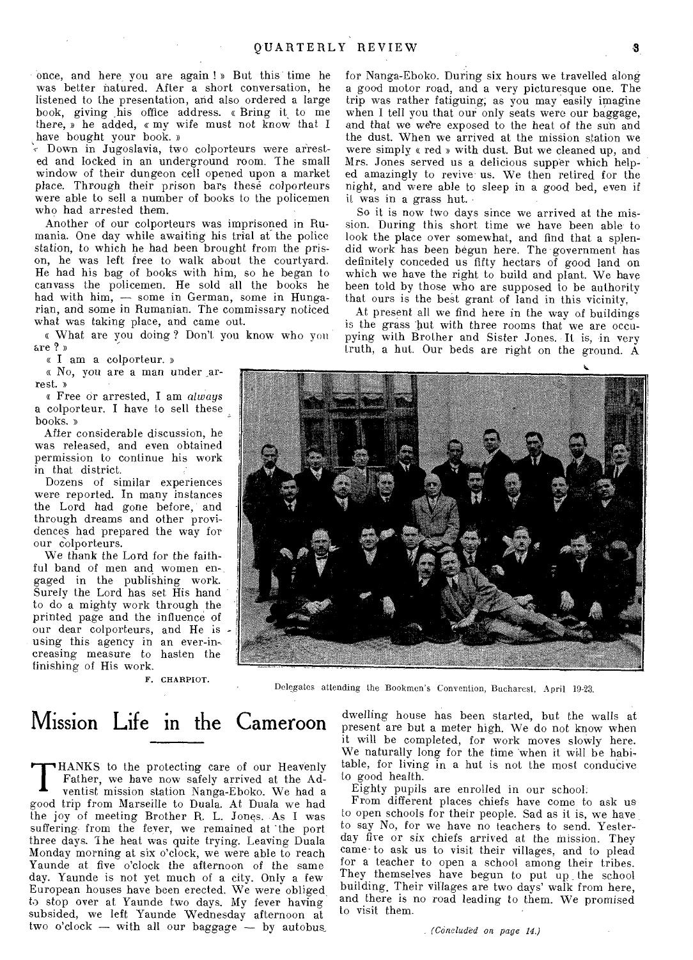once, and here, you are again ! » But this time he was better natured. After a short conversation, he listened to the presentation, and also ordered a large book, giving his office address. « Bring it to me there, » he added, « my wife must not know that I have bought your book. »

> Down in Jugoslavia, two colporteurs were arrested and locked in an underground room. The small window of their dungeon cell opened upon a market place. Through their prison bars these colporteurs were able to sell a number of books to the policemen who had arrested them.

Another of our colporteurs was imprisoned in Rumania. One day while awaiting his trial at the police station, to which he had been brought from the prison, he was left free to walk about the courtyard. He had his bag of books with him, so he began to canvass the policemen. He sold all the books he had with him, — some in German, some in Hungarian, and some in Rumanian. The commissary noticed what was taking place, and came out.

« What are you doing ? Don't, you know who you are ? »

« I am a colporteur.

« No, you are a man under arrest. n

« Free or arrested, I am *always*  a colporteur. I have to sell these books. »

After considerable discussion, he was released, and even obtained permission to continue his work in that district.

Dozens of similar experiences were reported. In many instances the Lord had gone before, and through dreams and other providences had prepared the way for our colporteurs.

We thank the Lord for the faithful band of men and women engaged in the publishing work. Surely the Lord has set His hand to do a mighty work through the printed page and the influence of our dear colporteurs, and He is using this agency in an ever-in-. creasing measure to hasten the finishing of His work.

F. CHARPIOT.

Delegates attending the Bookmen's Convention, Bucharest, April 19.23.

### Mission Life in the Cameroon

**T** HANKS to the protecting care of our Heavenly Father, we have now safely arrived at the Adventist mission station Nanga-Eboko. We had a good trip from Marseille to Duala. At Duala we had the joy of meeting Brother R. L. Jones. -As I was suffering from the fever, we remained at the port three days. 1 he heat was quite trying. Leaving Duala Monday morning at six o'clock, we were able to reach Yaunde at five o'clock the afternoon of the same day. Yaunde is not yet much of a city. Only a few European houses have been erected. We were obliged to stop over at Yaunde two days. My fever having subsided, we left Yaunde Wednesday afternoon at two o'clock — with all our baggage — by autobus for Nanga-Eboko. During six hours we travelled along a good motor road, and a very picturesque one. The trip was rather fatiguing; as you may easily imagine when I tell you that our only seats were our baggage, and that we we're exposed to the heat of the sun and the dust. When we arrived at the mission station we were simply « red » with dust. But we cleaned up, and Mrs. Jones served us a delicious supper which helped amazingly to revive us. We then retired for the night, and were able to sleep in a good bed, even if it was in a grass hut.

So it is now two days since we arrived at the mission. During this short time we have been able-to look the place over somewhat, and find that a splendid work has been begun here. The government has definitely conceded us fifty hectars of good land on which we have the right to build and plant. We have been told by those who are supposed to be authority that ours is the best grant of land in this vicinity,

At present all we find here in the way of buildings is the grass but with three rooms that we are occupying with Brother and Sister Jones. It is, in very truth, a hut. Our beds are right on the ground. A



dwelling house has been started, but the walls at present are but a meter high. We do not know when it will be completed, for work moves slowly here. We naturally long for the time when it will be habitable, for living in a hut is not the most conducive to good health.

Eighty pupils are enrolled in our school.

From different places chiefs have come to ask us to open schools for their people. Sad as it is, we have to say No, for we have no teachers to send. Yesterday five or six chiefs arrived at the mission. They came- to ask us to visit their villages, and to plead for a teacher to open a school among their tribes. They themselves have begun to put up the school building. Their villages are two days' walk from here, and there is no road leading to them. We promised to visit them.

*(Concluded on page 14.)*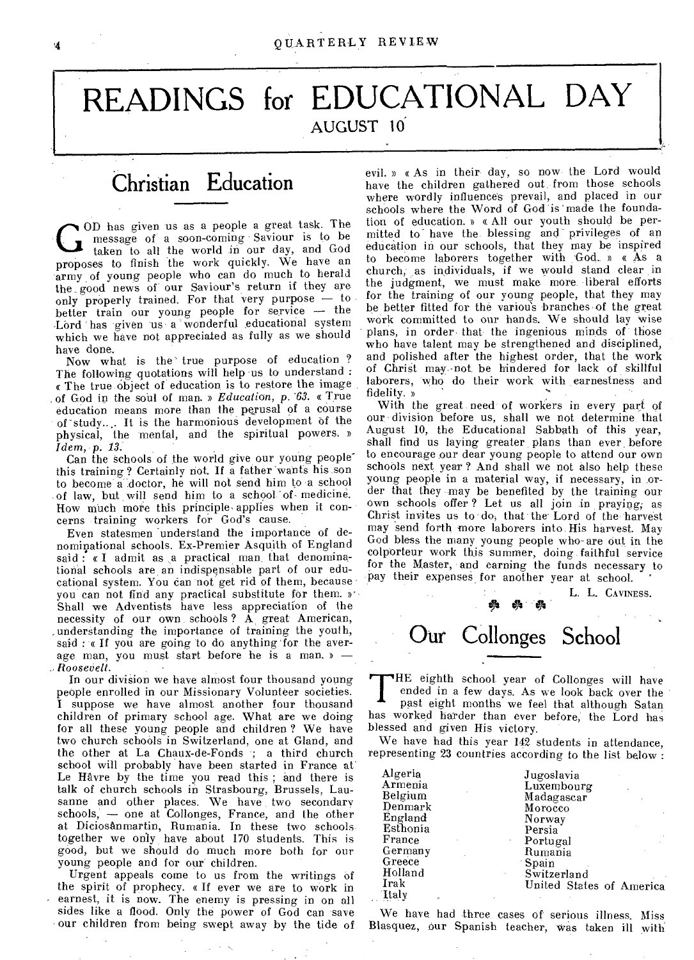## **READINGS for EDUCATIONAL DAY**  AUGUST 10

### Christian Education

COD has given us as a people a great task. The message of a soon-coming Saviour is to be taken to all the world in our day, and God proposes to finish the work quickly. We have an OD has given us as a people a great task. The message of a soon-coming Saviour is to be taken to all the world in our day, and God army of young people who can do much to herald the good news of our Saviour's return if they are only properly trained. For that very purpose — to better train our young people for service — the Lord has given us a wonderful educational system which we have not appreciated as fully as we should have done.

Now what is the true purpose of education? The following quotations will help us to understand : The true object of education is to restore the image of God in the soul of man. » *Education, p. '63.* a True education means more than the perusal of a course of -study.... It is the harmonious development Of the physical, the mental, and the spiritual powers. » *Idem,* p. *13.* 

Can the schools of the world give our young peoplethis training? Certainly not. If a father wants his son to become a doctor, he will not send him to -a school of law, but will send him to a school of medicine. How much more this principle,applies when it concerns training workers for God's cause.

Even statesmen understand the importance of denomirptional schools. Ex-Premier Asquith of England said : « I admit as a practical man that denominational schools are an indispensable part of our educational system. You can not get rid of them, because you can not find any practical substitute for them. »• Shall we Adventists have less appreciation of the necessity of our own schools? A great American, \_understanding the importance of training the youth, said : « If you are going to do anything for the average man, you must start before he is a man. » — \_. *Roosevelt.* 

In our division we have almost four thousand young people enrolled in our Missionary Volunteer societies. I suppose we have almost another four thousand children of primary school age. What are we doing for all these young people and children ? We have two church schools in Switzerland, one at Gland, and the other at La Chaux-de-Fonds ; a third church school will probably have been started in France at. Le Havre by the time you read this ; and there is talk of church schools in Strasbourg, Brussels, Lausanne and other places. We have two secondary schools, — one at Collonges, France, and the other at Diciosanmartin, Rumania. In these two schools together we only have about 170 students. This is good, but we should do much more both for our young people and for our children.

Urgent appeals come to us from the writings of the spirit of prophecy. « If ever we are to work in earnest, it is now. The enemy is pressing in on all sides like a flood. Only the power of God can save our children from being swept away by the tide of

evil. » « As in their day, so now the Lord would have the children gathered out from those schools where wordly influences prevail, and placed in our schools where the Word of God is 'made the foundation of education. » « All our youth should be permitted to have the blessing and privileges of an education in our schools, that they may be inspired to become laborers together with God.. » « As a church, as individuals, if we would stand clear in the judgment, we must make more, liberal efforts for the training of our young people, that they may be better fitted for the various branches of the great work committed to our hands. We should lay wise plans, in order that the ingenious minds of those who have talent may be strengthened and disciplined, and polished after the highest order, that the work of Christ may not be hindered for lack of skillful laborers, who do their work with earnestness and fidelity. »

With the great need of workers in every part of our division before us, shall we not determine, that August 10, the Educational Sabbath of this year, shall find us laying greater plans than ever, before to encourage our dear young people to attend our own schools next year ? And shall we not also help these young people in a material way, if necessary, in order that they may be benefited by the training our own schools offer ? Let us all join in praying; as Christ invites us to do, that the Lord of the harvest may send forth more laborers into, His harvest. May God bless the many young people who- are out in the colporteur work this summer, doing faithful service for the Master, and earning the funds necessary to pay their expenses for another year at school.

> L. L. CAVINESS. Our Collonges School

T HE eighth school year of Collonges will have ended in a few days. As we look back over the past eight months we feel that although Satan has worked harder than ever before, the Lord has blessed and given His victory.

We have had this year 142 students in attendance, representing 23 countries according to the list below :

| Algeria      | Jugoslavia               |
|--------------|--------------------------|
| Armenia      | Luxembourg               |
| Belgium      | Madagascar               |
| Denmark      | Morocco                  |
| England      | Norway                   |
| Esthonia     | Persia                   |
| France       | Portugal                 |
| Germany      | Rumania                  |
| Greece       | <sup>-</sup> Spain       |
| Holland      | Switzerland              |
| Irak         | United States of America |
| <b>Italy</b> |                          |

We have had three cases of serious illness. Miss Blasquez, our Spanish teacher, was taken ill with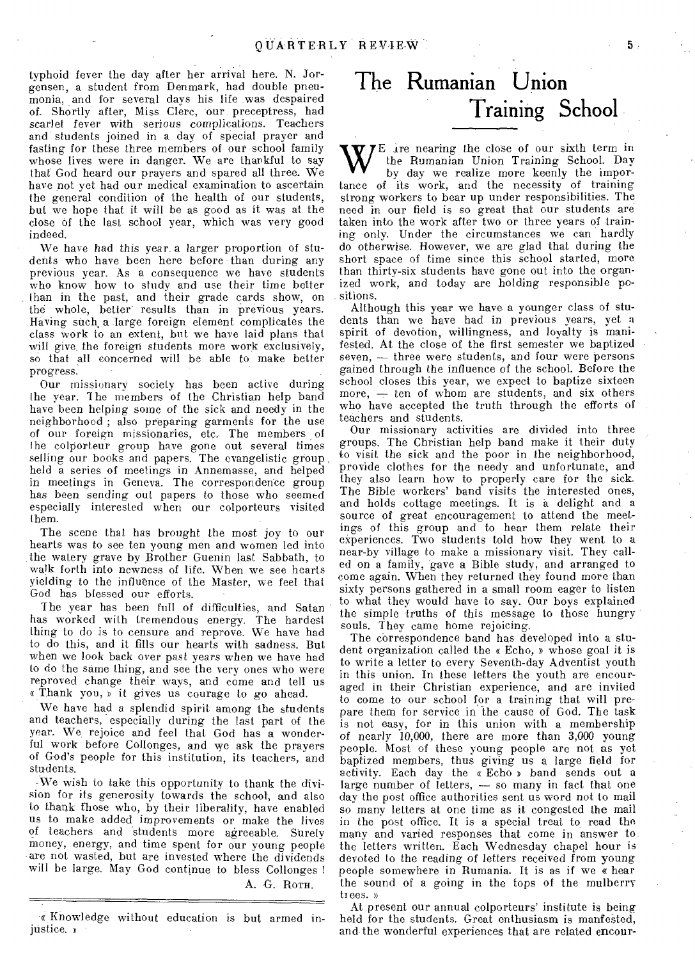typhoid fever the day after her arrival here. N. Jorgensen, a student from Denmark, had double pneumonia, and for several days his life was despaired of. Shortly after, Miss Clerc, our preceptress, had *scarlet* fever with *serious* complications. Teachers and students joined in a day of special prayer and fasting for these three members of our school family whose lives were in danger. We are thankful to say that God heard our prayers and spared all three. We have not yet had our medical examination to ascertain the general condition of the health of our students, but we hope that it will be as good as it was at the close of the last school year, which was very good indeed.

We have had this year a larger proportion of students who have been here before than during any previous year. As a consequence we have students who know how to study and use their time better than in the past, and their grade cards show, on the whole, better' results than in previous years. Having such, a large foreign element complicates the class work to an extent, but we have laid plans that will give, the foreign students more work exclusively, so that all concerned will be able to make better *progress.* 

Our missionary society has been active during the year. 1 he members of the Christian help band have been helping some of the sick and needy in the neighborhood ; also preparing garments for the use of our foreign missionaries, etc. The members of the colporteur group have gone out several times selling our books and papers. The evangelistic group held a series of meetings in Annemasse, and helped in meetings in Geneva. The correspondence group has been sending out papers to those who seemed especially interested when our colporteurs visited them.

The scene that has brought the most joy to our hearts was to see ten young men and women led into the watery grave by Brother Guenin last Sabbath, to walk forth into newness of life. When we see hearts yielding to the influence of the Master, we feel that God has blessed our efforts.

The year has been full of difficulties, and Satan has worked with tremendous energy. The hardest thing to do is to censure and reprove. We have had to do this, and it fills our hearts with sadness. But when we look back over past years when we have had to do the same thing, and see the very ones who were reproved change their ways, and come and tell us a Thank you, » it gives us courage to go ahead.

We have had a splendid spirit among the students and teachers, especially during the last part of the year. We, rejoice and feel that God has a wonderful work before Collonges, and we ask the prayers of God's people for this institution, its teachers, and students.

We wish to take this opportunity to thank the division for its generosity towards the school, and also to thank those who, by their liberality, have enabled us to make added improvements or make the lives of teachers and students more agreeable. Surely money, energy, and time spent for our young people are not wasted, but are invested where the dividends will be large. May God continue to bless Collonges !

A. G. ROTH.

### **The Rumanian Union Training School**

W **7E** are nearing the close of our sixth term in the Rumanian Union Training School. Day by day we realize more keenly the importance of its work, and the necessity of training strong workers to bear up under responsibilities. The need in our field is so great that our students are taken into the work after two or three years of training only. Under the circumstances we can hardly do otherwise. However, we are glad that during the short space of time since this school started, more than thirty-six students have gone out into the organized work, and today are holding responsible positions.

Although this year we have a younger class of students than we have had in previous years, yet a spirit of devotion, willingness, and loyalty is manifested. At the close of the first semester we baptized seven, — three were students, and four were persons gained through the influence of the school. Before the school closes this year, we expect to baptize sixteen more,  $-$  ten of whom are students, and six others who have accepted the truth through the efforts of teachers and students.

Our missionary activities are divided into three groups. The Christian help band make it their duty to visit the sick and the poor in the neighborhood, provide clothes for the needy and unfortunate, and they also learn how to properly care for the sick. The Bible workers' band visits the interested ones, and holds cottage meetings. It is a delight and a source of great encouragement to attend the meetings of this group and to hear them relate their experiences. Two students told how they went to a near-by village to make a missionary visit. They called on a family, gave a Bible study, and arranged to come again. When they returned they found more than sixty persons gathered in a small room eager to listen to what they would have to say. Our boys explained the simple truths of this message to those hungry souls. They came home rejoicing.

The correspondence band has developed into a student organization called the « Echo, » whose goal it is to write a letter to every Seventh-day Adventist youth in this union. In these letters the youth are encouraged in their Christian experience, and are invited to come to our school for a training that will prepare them for service in the cause of God. The task is not easy, for in this union with a membership of nearly 10,000, there are more than 3,000 young people. Most of these young people are not as yet baptized members, thus giving us a large field for activity. Each day the «Echo » band sends out a large number of letters, — so many in fact that one day the post office authorities sent us word not to mail so many letters at one time as it congested the mail in the post office. It is a special treat to read the many and varied responses that come in answer to the letters written. Each Wednesday chapel hour is devoted to the reading of letters received from young people somewhere in Rumania. It is as if we a hear the sound of a going in the tops of the mulberry trees. »

At present our annual colporteurs' institute is being held for the students. Great enthusiasm is manfested, and the wonderful experiences that are related encour-

<sup>«</sup> Knowledge without education is but armed injustice. »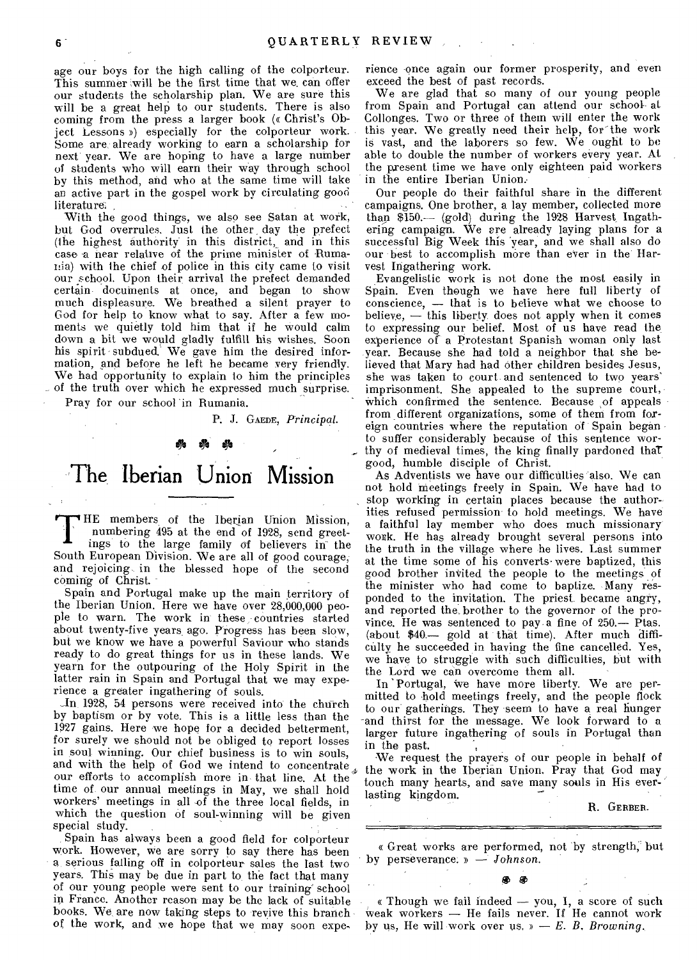age our boys for the high calling of the colporteur. This summer will be the first time that we can offer our students the scholarship plan. We are sure this will be a great help to our students. There is also coming from the press a larger book (« Christ's Object Lessons ») especially for the colporteur work. Some are already working to earn a scholarship for next year. We are hoping to have a large number of students who will earn their way through school by this method, and who at the same time will take an active part in the gospel work by circulating good literature.

With the good things, we also see Satan at work, but God overrules. Just the other, day the prefect (the highest authority in this district,\_ and in this case a near relative of the prime minister of Rumania) with the chief of police in this city came to visit our school. Upon their arrival the prefect demanded certain documents at once, and began to show much displeasure. We breathed a silent prayer to God for help to know what to say. After a few moments we quietly told him that if he would calm down a bit we would gladly fulfill his wishes. Soon his spirit subdued. We gave him the desired information, and before he left he became very friendly. We had opportunity to explain to him the principles of the truth over which he expressed much surprise.

Pray for our school 'in Rumania.

R J. GAEDE, *Principal.* 

#### **ty:**

### **The**. **Iberian Union Mission**

THE members of the Iberian Union Mission,<br>numbering 495 at the end of 1928, send greet-<br>ings to the large family of believers in the HE members of the Iberian Union Mission, numbering 495 at the end of 1928, send greet-South European Division. We are all of good courage, and rejoicing in the blessed hope of the second coming of Christ.

Spain and Portugal make up the main territory of the Iberian Union. Here we have over 28,000,000 people to warn. The work in these countries started about twenty-five years ago. Progress has been slow, but we know we have a powerful Saviour who stands ready to do great things for us in these lands. We yearn for the outpouring of the Holy Spirit in the latter rain in Spain and Portugal that we may experience a greater ingathering of souls.

and with the help of God we intend to concentrate  $*$  the work in the Iberian Union. Pray that God may our efforts to accomplish more in that line. At the  $*$  the work in the Iberian Union. Pray that God may \_In, 1928, 54 persons were received into the church by baptism or by vote. This is a little less than the 1927 gains. Here we hope for a decided betterment, for surely we should not be obliged to report losses in soul winning. Our chief business is to win souls, our efforts to accomplish more in that line. At the time of our annual meetings in May, we shall hold workers' meetings in all of the three local fields, in which the question of soul-winning will be given special study.

Spain has always been a good field for colporteur work. However, we are sorry to say there has been a, serious falling off in colporteur sales the last two years. This may be due in part to the fact that many of our young people were sent to our training' school in France. Another reason may be the lack of suitable books. We are now taking steps to revive this branch of the work, and we hope that we may soon experience once again our former prosperity, and even exceed the best of past records.

We are glad that so many of our young people from Spain and Portugal can attend our school at Collonges. Two or three of them will enter the work this year. We greatly need their help, for'the work is vast, and the laborers so few. We ought to be able to double the number of workers every year. At the present time we have only eighteen paid workers in the entire Iberian Union.-

Our people do their faithful share in the different campaigns. One brother, a lay member, collected more than \$150.— (gold) during the 1928 Harvest Ingathering campaign. We are already laying plans for a successful Big Week this 'year, and we shall also do our best to accomplish more than ever in the Harvest Ingathering work.

Evangelistic work is not done the most easily in Spain. Even though we have here full liberty of conscience, — that is to believe what we choose to believe, — this liberty does not apply when it comes to expressing our belief. Most of us have read the experience of a Protestant Spanish woman only last year. Because she had told a neighbor that she believed that Mary had had other children besides Jesus, she was taken to court and sentenced to two years' imprisonment. She appealed to the supreme court, which confirmed the sentence. Because of appeals from different organizations, some of them from foreign countries where the reputation of Spain began to suffer considerably because of this sentence worthy of medieval times, the king finally pardoned thaT good, humble disciple of Christ.

As Adventists we have our difficulties also. We can not hold meetings freely in Spain. We have had to stop working in certain places because the authorities refused permission to hold meetings. We have a faithful lay member who does much missionary' work. He has already brought several persons into the truth in the village where he lives. Last summer at the time some of his converts•were baptized, this good brother invited the people to the meetings of the minister who had come to baptize. Many responded to the invitation. The priest became angry, and reported the, brother to the governor of the province. He was sentenced to pay.a fine of 250.— Ptas. (about \$40.— gold at that time). After much difficulty he succeeded in having the fine cancelled. Yes, we have to struggle with such difficulties, but with the Lord we can overcome them all.

In 'Portugal, we have more liberty. We are permitted to hold meetings freely, and the people flock to our gatherings. They seem to have a real hunger -and thirst for the message. We look forward to a larger future ingathering of souls in Portugal than in the past.

We request the prayers of our people in behalf of touch many hearts, and save many souls in His everlasting kingdom.

R. GERBER.

a Great works are performed, not 'by strength, but by perseverance. s — *Johnson.* 

**@ @** 

« Though we fail indeed — you, I, a score of such weak workers — He fails never. If He cannot work by us, He will work over us. » — *E. B. Browning.*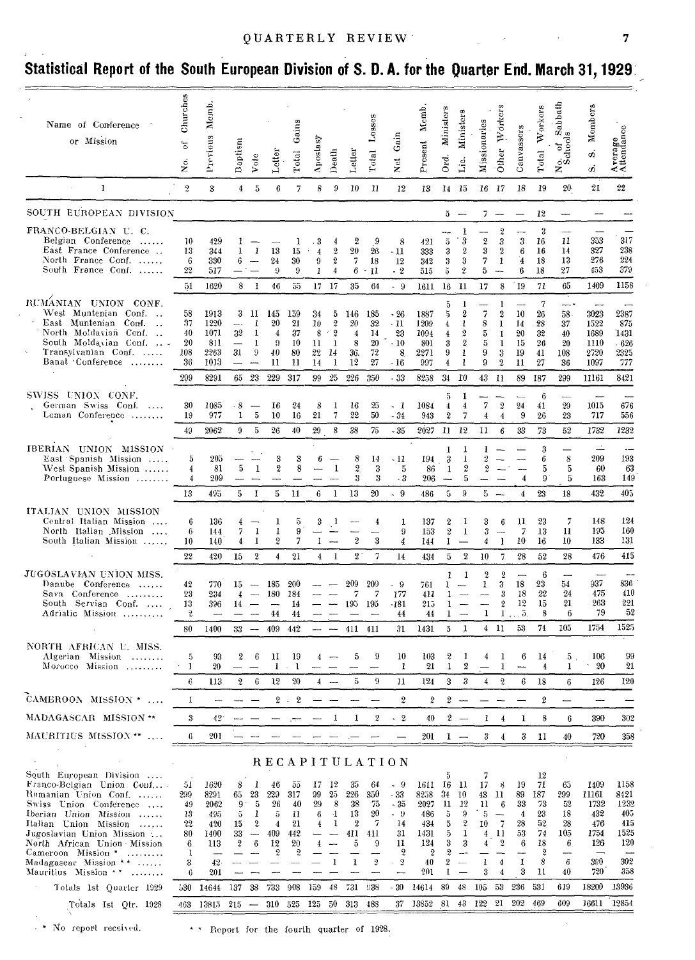| Name of Conference<br>or Mission                                                                                                                                                                                                                                      | Churches<br>ð<br>ż.                               | Memb<br>Previous                                           | Baptism                                | Vote                                                 | Letter                                                   | Total Gains                                                | Aposlasy                                   | Death                                                                     | Letler                                      | Lossos<br>Total                                            | Net Gain                                                                                         | Present Memb                                                                       | Ord. Ministers                                                                                    | <b>Ministers</b><br>Lic.                                                 | Missionaries                                                                 | Wórkers<br>$O$ ther $\overline{C}$                                                                 | Canvassers                                                        | Total Workers                                                                          | No. of Sabbath<br>Schools                          | Members<br>ó<br>$\dot{\varpi}$                                   | Average                                                         |
|-----------------------------------------------------------------------------------------------------------------------------------------------------------------------------------------------------------------------------------------------------------------------|---------------------------------------------------|------------------------------------------------------------|----------------------------------------|------------------------------------------------------|----------------------------------------------------------|------------------------------------------------------------|--------------------------------------------|---------------------------------------------------------------------------|---------------------------------------------|------------------------------------------------------------|--------------------------------------------------------------------------------------------------|------------------------------------------------------------------------------------|---------------------------------------------------------------------------------------------------|--------------------------------------------------------------------------|------------------------------------------------------------------------------|----------------------------------------------------------------------------------------------------|-------------------------------------------------------------------|----------------------------------------------------------------------------------------|----------------------------------------------------|------------------------------------------------------------------|-----------------------------------------------------------------|
| $\bf{I}$                                                                                                                                                                                                                                                              | $\overline{2}$                                    | 3                                                          | 4                                      | 5                                                    | 6                                                        | 7                                                          | 8                                          | 9                                                                         | 10                                          | 11                                                         | 12                                                                                               | 13                                                                                 |                                                                                                   | 14 15                                                                    |                                                                              | 16 17                                                                                              | 18                                                                | 19                                                                                     | 20.                                                | 21                                                               | 22                                                              |
| SOUTH EUROPEAN DIVISION                                                                                                                                                                                                                                               |                                                   |                                                            |                                        |                                                      |                                                          |                                                            |                                            |                                                                           |                                             |                                                            |                                                                                                  |                                                                                    |                                                                                                   | $5 -$                                                                    |                                                                              | $7 -$                                                                                              |                                                                   | 12                                                                                     |                                                    |                                                                  |                                                                 |
| FRANCO-BELGIAN U.C.<br>Belgian Conference<br>East France Conference<br>North France Conf.<br>South France Conf.                                                                                                                                                       | 10<br>13<br>6<br>22                               | 429<br>344<br>330<br>517                                   | 1<br>1<br>6.                           | 1                                                    | 13<br>24<br>9                                            | 1<br>15<br>30<br>9                                         | $\cdot$ 3<br>$\boldsymbol{4}$<br>9<br>1    | $\boldsymbol{2}$<br>$\,2\,$<br>$\boldsymbol{4}$                           | 2<br>$20\,$<br>7<br>6                       | -9<br>26<br>18<br>- 11                                     | 8<br>$-11$<br>12<br>$-2$                                                                         | 421<br>333<br>342<br>515                                                           | 5<br>3<br>$\rm 3$<br>5                                                                            | 1<br>3<br>$\boldsymbol{2}$<br>$\sqrt{3}$<br>$\boldsymbol{2}$             | $\overline{2}$<br>3<br>7<br>5                                                | $\overline{2}$<br>3<br>2<br>1<br>$\overline{\phantom{a}}$                                          | -<br>$\boldsymbol{3}$<br>$\boldsymbol{6}$<br>$\overline{4}$<br>6  | 3<br>16<br>16<br>18<br>18                                                              | $\overline{a}$<br>11<br>14<br>13<br>27             | 353<br>327<br>276<br>453                                         | 317<br>238<br>224<br>379                                        |
|                                                                                                                                                                                                                                                                       | 51                                                | 1620                                                       | 8                                      | 1                                                    | 46                                                       | 55                                                         |                                            | $17 - 17$                                                                 | 35                                          | 64                                                         | $-9$                                                                                             | 1611                                                                               | 16                                                                                                | -11                                                                      | 17                                                                           | 8                                                                                                  | I9                                                                | 71                                                                                     | 65                                                 | 1409                                                             | 1158                                                            |
| RUMANIAN UNION CONF.<br>West Muntenian Conf<br>East Muntenian Conf.<br>$\overline{\phantom{a}}$<br>North Moldavian Conf.<br>South Moldavian Conf.<br>Transylvanian Conf.<br>Banat Conférence<br>.                                                                     | 58<br>37<br>40<br>20<br>108<br>36                 | 1913<br>1220<br>1071<br>811<br>2263<br>1013                | 3<br>.<br>32<br>31                     | -11<br>1<br>1<br>1<br>9                              | 145<br>20<br>$\overline{4}$<br>9<br>40<br>11             | 159<br>21<br>37<br>10<br>80<br>11                          | 34<br>10<br>8<br>11<br>$22\,$<br>14        | 5<br>$\boldsymbol{2}$<br>$\leq 2$<br>-1<br>- 14<br>-1                     | 146<br>20<br>4<br>8<br>36.<br>12            | 185<br>32<br>14<br>20<br>72<br>27                          | $-26$<br>$-11$<br>23<br>$-10$<br>8<br>$-16$                                                      | 1887<br>1209<br>1094<br>801<br>2271<br>997                                         | 5<br>5<br>4<br>$\overline{4}$<br>3<br>9<br>$\overline{4}$                                         | 1<br>$\boldsymbol{2}$<br>1<br>2<br>$\boldsymbol{2}$<br>1<br>$\mathbf{1}$ | 7<br>8<br>5<br>5<br>9<br>9                                                   | 1<br>2<br>1<br>1<br>1<br>3<br>$\boldsymbol{2}$                                                     | ---<br>10<br>14<br>20<br>15<br>19<br>11                           | 7<br>26<br>28<br>32<br>26<br>41<br>27                                                  | $58.$<br>37<br>40<br>20<br>108<br>36               | 3023<br>1522<br>1689<br>1110<br>2720<br>1097                     | 2387<br>875<br>1431<br>- 626<br>2325<br>777                     |
|                                                                                                                                                                                                                                                                       | 299                                               | 8291                                                       |                                        | 65 23                                                | 229                                                      | 317                                                        | 99                                         | 25                                                                        | 226                                         | 350                                                        | $-33$                                                                                            | 8258                                                                               | 34                                                                                                | 10                                                                       |                                                                              | 43 11                                                                                              | 89                                                                | 187                                                                                    | 299                                                | 11161                                                            | 8421                                                            |
| SWISS UNION CONF.<br>German Swiss Conf.<br>$\sim$<br>Leman Conference                                                                                                                                                                                                 | 30<br>19<br>49                                    | 1085<br>977<br>2062                                        | $-8$<br>1<br>9                         | 5<br>5                                               | 16<br>10<br>26                                           | 24<br>16<br>40                                             | 8<br>21<br>29                              | 1<br>7<br>8                                                               | 16<br>22<br>38                              | 25<br>50<br>75                                             | - 1<br>$-34$<br>$-35$                                                                            | 1084<br>943<br>2027                                                                | 5<br>$\boldsymbol{4}$<br>$\boldsymbol{2}$<br>-11                                                  | 1<br>4<br>7<br>12                                                        | 7<br>$\overline{4}$<br>11                                                    | $\boldsymbol{2}$<br>$\overline{4}$<br>6                                                            | 24<br>9<br>33                                                     | 6<br>41<br>26<br>73                                                                    | 29<br>23<br>52                                     | 1015<br>717<br>1732                                              | 676<br>556<br>1232                                              |
| IBERIAN UNION MISSION<br>East Spanish Mission<br>West Spanish Mission<br>Portuguese Mission                                                                                                                                                                           | 5<br>4<br>4<br>13                                 | 205<br>81<br>209<br>495                                    | 5<br>5                                 | 1<br>-1                                              | 3<br>$\boldsymbol{2}$<br>5                               | 3<br>8<br>11                                               | в<br>6                                     | 1<br>-1                                                                   | 8<br>$\overline{2}$<br>3<br>13              | 14<br>3<br>3<br>20                                         | - 11<br>5<br>- 3<br>$-9$                                                                         | 194<br>86<br>206<br>486                                                            | 1<br>3<br>1<br>5                                                                                  | 1<br>1<br>$\boldsymbol{2}$<br>5<br>9                                     | 1<br>$\overline{2}$<br>2                                                     | $5 -$                                                                                              | $\overline{4}$<br>4                                               | 3<br>6<br>5<br>9<br>23                                                                 | 8<br>5<br>5<br>18                                  | 209<br>60<br>163<br>432                                          | 193<br>63<br>149<br>405                                         |
| ITALIAN UNION MISSION<br>Central Italian Mission<br>North Italian Mission<br>South Italian Mission                                                                                                                                                                    | 6<br>6<br>10<br>22                                | 136<br>144<br>140<br>420                                   | 4<br>7<br>4<br>15                      | -1<br>1<br>2                                         | 1<br>1<br>2<br>$\overline{4}$                            | 5<br>9<br>7<br>21                                          | 3<br>1                                     | -1<br>$4 \quad 1$                                                         | $\boldsymbol{2}$<br>2.7                     | 4<br>3<br>7                                                | 1<br>9<br>$\overline{4}$<br>14                                                                   | 137<br>153<br>144<br>434                                                           | $\boldsymbol{2}$<br>$\boldsymbol{2}$<br>1<br>5                                                    | 1<br>$\mathbf{1}$<br>2                                                   | 3<br>3<br>4<br>10 <sup>°</sup>                                               | 6<br>$\mathbf{l}$<br>7                                                                             | 11<br>7<br>10<br>28                                               | 23<br>13<br>16<br>52                                                                   | 7<br>11<br>10<br>28                                | 148<br>195<br>133<br>476                                         | 124<br>160<br>131<br>415                                        |
| JUGOSLAVIAN UNION MISS.<br>Danube Conference<br>Sava Conference<br>South Servian Conf.<br>Adriatic Mission                                                                                                                                                            | 42<br>23<br>13<br>2<br>80                         | 770<br>234<br>396<br>1400                                  | 15<br>4<br>14<br>33                    | $\sim$<br>$\overline{\phantom{a}}$                   | 185<br>180<br>44<br>409                                  | 200<br>184<br>14<br>44<br>442                              |                                            | $\sim$                                                                    | $209\,$<br>7<br>195<br>411                  | 209<br>7<br>195<br>411                                     | - 9<br>177<br>-181<br>44<br>31                                                                   | 761<br>411<br>215<br>44<br>1431                                                    | 1<br>1<br>1<br>1<br>$\bar{5}$                                                                     | 1<br>-1                                                                  | $\boldsymbol{2}$<br>1<br>--<br><u></u><br>1                                  | $\boldsymbol{2}$<br>3<br>3<br>$\boldsymbol{2}$<br>4 11                                             | 18<br>18<br>12<br>$1 \ldots 5$ .<br>53                            | 6<br>23<br>$22\,$<br>15<br>8<br>74                                                     | 54<br>24<br>21<br>6<br>105                         | 937<br>475<br>263<br>79<br>1754                                  | 836<br>410<br>221<br>52<br>1525                                 |
| NORTH AFRICAN U. MISS.<br>Algerian Mission<br>Morocco Mission                                                                                                                                                                                                         | 5<br>1                                            | 93<br>20                                                   | 2                                      | $\,6\,$                                              | 11<br>1                                                  | 19<br>-1                                                   | 4                                          |                                                                           | 5                                           | 9                                                          | 10<br>$\mathbf{1}$                                                                               | 103<br>21                                                                          | $\boldsymbol{2}$<br>1                                                                             | 2                                                                        | $\overline{\mathbf{4}}$                                                      | 1<br>1                                                                                             | 6<br>---                                                          | 14<br>4                                                                                | 5 <sub>1</sub><br>$\bf{l}$                         | 106<br>20                                                        | 99<br>21                                                        |
|                                                                                                                                                                                                                                                                       | $\epsilon$                                        | 113                                                        | $\mathbf{2}$                           | 6                                                    | $12\,$                                                   | 20                                                         | $\overline{4}$                             |                                                                           | $\tilde{\text{o}}$                          | 9                                                          | 11                                                                                               | 124                                                                                | 3                                                                                                 | 3                                                                        | $\overline{4}$                                                               | $\overline{2}$                                                                                     | 6                                                                 | 18                                                                                     | 6                                                  | 126                                                              | 120                                                             |
| CAMEROON MISSION *                                                                                                                                                                                                                                                    | 1                                                 | $\overline{a}$                                             |                                        |                                                      |                                                          | $2 \times 2$                                               |                                            |                                                                           |                                             |                                                            | $\overline{2}$                                                                                   | 2                                                                                  |                                                                                                   | $2 -$                                                                    |                                                                              |                                                                                                    |                                                                   | 2                                                                                      | —                                                  |                                                                  |                                                                 |
| MADAGASCAR MISSION **                                                                                                                                                                                                                                                 | 3                                                 | 42 <sup>1</sup>                                            |                                        |                                                      |                                                          |                                                            |                                            | 1                                                                         | 1                                           | 2                                                          | $\cdot$ 2                                                                                        | 40                                                                                 |                                                                                                   | $2 -$                                                                    | $\mathbf{1}$                                                                 | $\overline{4}$                                                                                     | 1                                                                 | 8                                                                                      | $\boldsymbol{6}$                                   | 390                                                              | 302                                                             |
| MAURITIUS MISSION **                                                                                                                                                                                                                                                  | 6                                                 | 201                                                        |                                        |                                                      |                                                          |                                                            |                                            |                                                                           |                                             |                                                            |                                                                                                  | 201                                                                                |                                                                                                   | $1 -$                                                                    | 3                                                                            | $\overline{4}$                                                                                     | 3                                                                 | -11                                                                                    | 40                                                 | 720                                                              | 358                                                             |
|                                                                                                                                                                                                                                                                       |                                                   |                                                            |                                        |                                                      |                                                          |                                                            |                                            |                                                                           |                                             |                                                            |                                                                                                  |                                                                                    |                                                                                                   |                                                                          |                                                                              |                                                                                                    |                                                                   |                                                                                        |                                                    |                                                                  |                                                                 |
| South European Division<br>Franco-Belgian Union Conf<br>Rumanian Union Conf.<br>Swiss Union Conference<br>Iberian Union Mission<br>Italian Union Mission<br>Jugoslavian Union Mission<br>North African Union Mission<br>Cameroon Mission *<br>Madagascar Mission $**$ | 51<br>299<br>49<br>13<br>22<br>80<br>6<br>-1<br>3 | 1620<br>8291<br>2062<br>495<br>420<br>1400<br>113<br>$42-$ | 8<br>65<br>$9 -$<br>5<br>15<br>33<br>2 | 1<br>23<br>5<br>1<br>$\boldsymbol{2}$<br>$\sim$<br>6 | 46<br>229<br>26<br>5<br>$\overline{4}$<br>409<br>12<br>2 | 55<br>317<br>40<br>11<br>21<br>442<br>20<br>$\overline{2}$ | 17<br>99<br>29<br>6<br>4<br>$\overline{4}$ | - 12<br>$25\,$<br>8<br>$\mathbf{I}$<br>1<br>$\overline{\phantom{a}}$<br>1 | 35<br>226<br>38<br>13<br>2<br>411<br>5<br>1 | 64<br>350<br>75<br>20<br>7<br>411<br>9<br>$\boldsymbol{2}$ | <b>RECAPITULATION</b><br>- 9<br>$-33$<br>$-35$<br>- 9<br>14<br>31<br>11<br>2<br>$\boldsymbol{2}$ | 1611<br>8258<br>2027<br>486<br>434<br>1431<br>124<br>$\boldsymbol{2}$<br>40<br>201 | 5<br>- 16<br>34<br>11<br>$\mathbf{5}$<br>5<br>5<br>3<br>$\boldsymbol{2}$<br>$\boldsymbol{2}$<br>1 | - 11<br>10<br>12<br>-9<br>$\boldsymbol{v}$<br>1<br>3<br>$\overline{a}$   | 7<br>17<br>43<br>11<br>5<br>10<br>$\overline{4}$<br>$\overline{4}$<br>1<br>3 | -8<br>11<br>6<br>$\overline{\phantom{m}}$<br>-7<br>11<br>$\boldsymbol{2}$<br>$\boldsymbol{4}$<br>4 | 19<br>89<br>33<br>$\overline{4}$<br>28<br>53<br>6<br>--<br>1<br>3 | 12<br>71<br>187<br>73<br>23<br>52<br>74<br>18<br>$\boldsymbol{2}$<br>$\,$ 8 $\,$<br>11 | 65<br>299<br>52<br>18<br>28<br>105<br>6<br>6<br>40 | 1409<br>11161<br>1732<br>432<br>476<br>1754<br>126<br>390<br>720 | 1158<br>8421<br>1232<br>405<br>415<br>1525<br>120<br>302<br>358 |
| Mauritius Mission **<br>Totals 1st Quarter 1929                                                                                                                                                                                                                       | 6<br>530                                          | 201<br>14644                                               | 137                                    | 38                                                   | 733                                                      | 908                                                        | 159                                        | 48                                                                        | 731                                         | 938                                                        | $-30$                                                                                            | 14614                                                                              | 89                                                                                                | $\overline{\phantom{a}}$<br>48                                           | 105                                                                          | 53                                                                                                 | 236                                                               | 531                                                                                    | 619                                                | 18200                                                            | 13936                                                           |
| Totals Ist Otr. 1928                                                                                                                                                                                                                                                  |                                                   | $463$ 13815 215 -                                          |                                        |                                                      |                                                          | $310\quad 525\quad 125\quad 50\quad 313$                   |                                            |                                                                           |                                             | 488                                                        |                                                                                                  | 37 13852 81                                                                        |                                                                                                   |                                                                          |                                                                              |                                                                                                    | 43 122 21 202                                                     | 469                                                                                    | 609                                                | 16611                                                            | 12854                                                           |

#### **Statistical Report of the South European Division of S. D. A. for the Quarter End. March 31, 1929**

- \* No report received. <br>**\*\*** Report for the fourth quarter of 1928.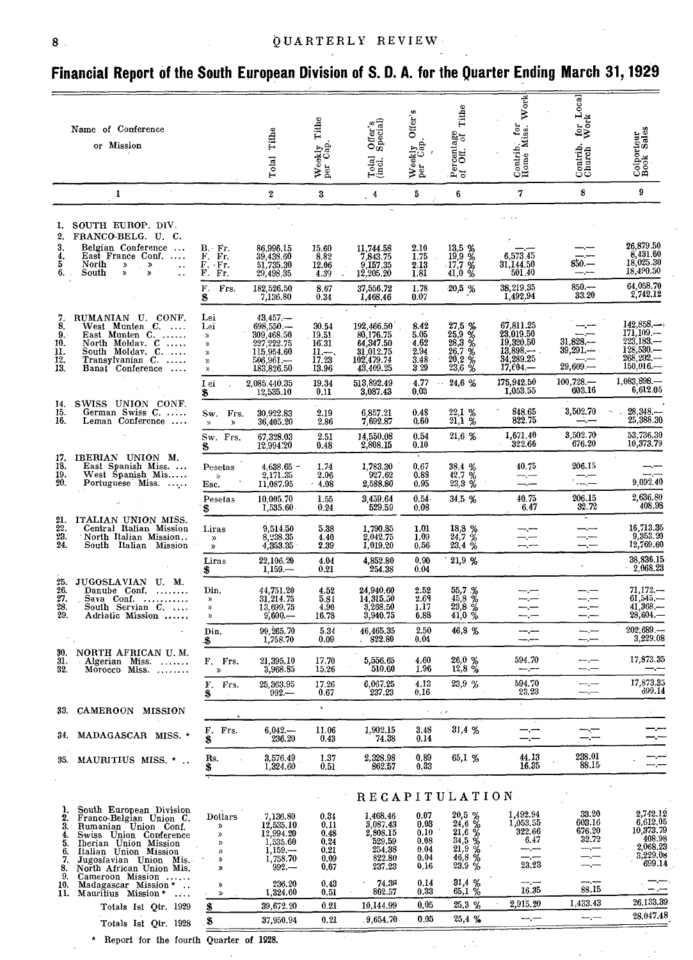#### 8 QUARTERLY REVIEW

#### **Financial Report of the South European Division of S. D. A. for the Quarter Ending March 31, 1929**

|                                        |                                                                                                                                                                                                     |                                                                                                                           |                                             |                          |                                   |                                                     | Tithe                                                                                                                                 | Contrib. for<br>Home Miss. Work                                                                                                                                                                                                                                                                                                                                                                                                                                            | for Local                                            |                                    |
|----------------------------------------|-----------------------------------------------------------------------------------------------------------------------------------------------------------------------------------------------------|---------------------------------------------------------------------------------------------------------------------------|---------------------------------------------|--------------------------|-----------------------------------|-----------------------------------------------------|---------------------------------------------------------------------------------------------------------------------------------------|----------------------------------------------------------------------------------------------------------------------------------------------------------------------------------------------------------------------------------------------------------------------------------------------------------------------------------------------------------------------------------------------------------------------------------------------------------------------------|------------------------------------------------------|------------------------------------|
|                                        | Name of Conference                                                                                                                                                                                  |                                                                                                                           |                                             |                          | Offer's<br>Special)               |                                                     |                                                                                                                                       |                                                                                                                                                                                                                                                                                                                                                                                                                                                                            |                                                      |                                    |
|                                        | or Mission                                                                                                                                                                                          |                                                                                                                           | Tithe                                       |                          |                                   |                                                     |                                                                                                                                       |                                                                                                                                                                                                                                                                                                                                                                                                                                                                            |                                                      |                                    |
|                                        |                                                                                                                                                                                                     |                                                                                                                           | Total                                       | Weekly Tithe<br>per Cap. | $_{\rm (inel.}^{\rm Total}$       | Weekly Offer's<br>per Cap.                          | Percentage<br>of Off. of                                                                                                              |                                                                                                                                                                                                                                                                                                                                                                                                                                                                            | Contrib.<br>Church                                   | Colporteur<br>Book Sales           |
|                                        | $\mathcal{A}$<br>1                                                                                                                                                                                  |                                                                                                                           | $\boldsymbol{2}$                            | 3                        | $\frac{4}{1}$                     | 5                                                   | 6                                                                                                                                     | 7                                                                                                                                                                                                                                                                                                                                                                                                                                                                          | 8                                                    | 9                                  |
|                                        | 1. SOUTH EUROP. DIV.                                                                                                                                                                                |                                                                                                                           |                                             |                          |                                   |                                                     |                                                                                                                                       |                                                                                                                                                                                                                                                                                                                                                                                                                                                                            |                                                      |                                    |
| 2.<br>3.<br>4.<br>5                    | FRANCO-BELG. U. C.<br>Belgian Conference<br>East France Conf.<br>North<br>$\mathfrak{D}% _{T}=\mathfrak{D}_{T}\!\left( a,b\right) ,\ \mathfrak{D}_{T}=C_{T}\!\left( a,b\right) ,$<br>»<br>$\cdot$ . | $B - Fr.$<br>F. Fr.<br>F. Fr.                                                                                             | 86,996.15<br>39,438.60<br>51,735.30         | 15.60<br>8.82<br>12.06   | 11,744.58<br>7,843.75<br>9,157.35 | $\begin{array}{c} 2.10 \\ 1.75 \end{array}$<br>2.13 | $\begin{array}{c} 13,5 \\ 19,9 \\ 17,7 \\ 41,0 \\ \end{array} \begin{array}{c} 96 \\ 96 \\ 41,0 \\ \end{array}$                       | 6,573.45<br>31,144.50                                                                                                                                                                                                                                                                                                                                                                                                                                                      | $850 -$                                              | 26,879.50<br>8,431.60<br>18,025.30 |
| 6.                                     | »<br>South<br>$\mathfrak{D}$<br>$\ddot{\phantom{a}}$                                                                                                                                                | F. Fr.<br>$\mathbf{F}_{\cdot}$<br>Frs.                                                                                    | 29,498.35<br>182,526.50                     | 4.39<br>8.67             | 12,205.20<br>37,556.72            | 1.81<br>1.78                                        | 20,5%                                                                                                                                 | 501.40<br>38,219.35                                                                                                                                                                                                                                                                                                                                                                                                                                                        | $-$ , $-$<br>$850 -$                                 | 18,490.50<br>64,058.70             |
|                                        |                                                                                                                                                                                                     | \$                                                                                                                        | 7,136.80                                    | 0.34                     | 1,468,46                          | 0.07                                                |                                                                                                                                       | 1,492.94                                                                                                                                                                                                                                                                                                                                                                                                                                                                   | 33.20                                                | 2,742.12                           |
| 7.<br>8.                               | RUMANIAN U. CONF.<br>West Munten C.                                                                                                                                                                 | Lei<br>Lei                                                                                                                | $43,457-$<br>698,550                        | $\mathcal{L}$<br>30.54   | 192,466.50                        | 8.42                                                |                                                                                                                                       | 67,811.25                                                                                                                                                                                                                                                                                                                                                                                                                                                                  |                                                      | 142,858                            |
| 9.<br>10.                              | East Munten C.<br>North Moldav. C                                                                                                                                                                   | $\chi$<br>$\mathfrak{D}$                                                                                                  | 309,468.50<br>227,222.75                    | 19.51<br>16.31           | 80,176.75<br>64,347.50            | 5.05<br>4.62                                        |                                                                                                                                       | 23,019.50<br>19,320.50                                                                                                                                                                                                                                                                                                                                                                                                                                                     | 31,828                                               | 171,109<br>$223,183-$<br>128,530.  |
| $\frac{11}{12}$                        | South Moldav. C.<br>Transylvanian C.                                                                                                                                                                | $\mathcal{D}$<br>${\mathcal{Y}}$                                                                                          | 115,954.60<br>$\frac{506,961.}{183,826.50}$ | $\frac{11}{17.23}$       | 31,012.75<br>102,479.74           | 2.94<br>3.48                                        | $27,5$ %<br>$25,9$ %<br>$28,3$ %<br>$26,7$ %<br>$20,2$ %                                                                              | $13,898$ $-$<br>34,289.25<br>$17,604-$                                                                                                                                                                                                                                                                                                                                                                                                                                     | $39,291-$<br>$29,609 -$                              | $268,202--$<br>$150,016-$          |
| 13.                                    | Banat Conference                                                                                                                                                                                    | $\mathcal{Y}$ .<br>I ei                                                                                                   | 2,085.440.35                                | 13.96<br>19.34           | 43,409.25<br>513,892.49           | 3.29<br>$-4.77$                                     | 24,6 %<br>$\sim$ $\sim$                                                                                                               | 175,942.50                                                                                                                                                                                                                                                                                                                                                                                                                                                                 | $100,728-$<br>603.16                                 | 1,083,898<br>6,612.05              |
| 14.<br>15.                             | SWISS UNION CONF.<br>German Swiss C.                                                                                                                                                                | \$<br>Sw. Frs.                                                                                                            | 12,535.10<br>30,922.83                      | 0.11<br>2.19             | 3.087.43<br>6,857.21              | 0.03<br>0.48                                        |                                                                                                                                       | 1,053.55<br>848.65                                                                                                                                                                                                                                                                                                                                                                                                                                                         | 3,502.70                                             | $28,348-$                          |
| 16.                                    | Leman Conference                                                                                                                                                                                    | $\mathcal{D}$<br>$\mathcal{D}$                                                                                            | 36,405.20                                   | 2.86                     | 7,692.87<br>14,550,08             | 0.60<br>0.54                                        | $^{22,1}_{21,1}$ %<br>21,6 %                                                                                                          | 822.75<br>1,671.40                                                                                                                                                                                                                                                                                                                                                                                                                                                         | 3,502.70                                             | 25,388.30<br>53,736.30             |
| 17.                                    | IBERIAN UNION M.                                                                                                                                                                                    | Sw. Frs.<br>3                                                                                                             | 67,328.03<br>12,994.20                      | 2.51<br>0.48             | 2,808.15                          | 0.10                                                |                                                                                                                                       | 322.66                                                                                                                                                                                                                                                                                                                                                                                                                                                                     | 676.20                                               | 10,373.79                          |
| 18.<br>$\frac{19}{20}$                 | East Spanish Miss<br>West Spanish Mis<br>Portuguese Miss.                                                                                                                                           | Pesetas<br>$\mathcal{D}$<br>Esc.                                                                                          | $4,638.65$ -<br>2,171.35<br>11,087.95       | 1.74<br>2.06<br>.4.08    | 1,783.30<br>927.62<br>2,588.80    | 0.67<br>0.88<br>0.95                                | $38,4$ %<br>$42,7$ %<br>23,3 %                                                                                                        | 40.75<br>—,~~                                                                                                                                                                                                                                                                                                                                                                                                                                                              | 206.15<br>$\begin{array}{c} - \\ - \\ - \end{array}$ | 9,092.40                           |
|                                        |                                                                                                                                                                                                     | Pesetas<br>S                                                                                                              | 10,005.70<br>1.535.60                       | 1.55<br>0.24             | 3,459.64<br>529.59                | 0.54<br>0.08                                        | 34,5 %                                                                                                                                | 40.75<br>6.47                                                                                                                                                                                                                                                                                                                                                                                                                                                              | 206.15<br>32.72                                      | 2,636.80<br>408.98                 |
|                                        | ITALIAN UNION MISS.<br>Central Italian Mission                                                                                                                                                      | Liras                                                                                                                     | 9.514.50                                    | 5.38                     | 1.790.85                          | 1.01                                                |                                                                                                                                       | --                                                                                                                                                                                                                                                                                                                                                                                                                                                                         | --                                                   | 16,713.35                          |
| $\frac{21}{22}$<br>$\frac{23}{24}$     | North Italian Mission<br>South Italian Mission                                                                                                                                                      | <b>رر</b><br>$\mathfrak{B}$                                                                                               | 8,238.35<br>4,353.35                        | 4.40<br>2.39             | 2,042.75<br>1,019.20              | 1.09<br>0.56                                        | $\frac{18,8}{24,7}$ %<br>23,4 %                                                                                                       | $-$ . $-$<br>$-$ . $-$                                                                                                                                                                                                                                                                                                                                                                                                                                                     | --                                                   | 9,353.20<br>12,769.60              |
|                                        |                                                                                                                                                                                                     | Liras<br>\$                                                                                                               | 22,106.20<br>$1.159-$                       | 4.04<br>0.21             | 4,852.80<br>254.38                | 0,90<br>0.04                                        | 21,9 %                                                                                                                                |                                                                                                                                                                                                                                                                                                                                                                                                                                                                            |                                                      | 38,836.15<br>2.068.23              |
| 25.                                    | JUGOSLAVIAN U.M.<br>Danube Conf.                                                                                                                                                                    | Din.                                                                                                                      | 44,751.20                                   | 4.52                     | 24,940.60                         | 2.52                                                |                                                                                                                                       |                                                                                                                                                                                                                                                                                                                                                                                                                                                                            |                                                      | $71,172-$                          |
| $\frac{26}{27}$ .<br>$\frac{28}{29}$ . | Sava Conf.<br>South Servian C.                                                                                                                                                                      | $\lambda$<br>$\mathcal{D}$                                                                                                | 31,214.75<br>13,699.75                      | 5.81<br>4.90             | 14,315.50<br>3,268.50             | 2.69<br>1.17                                        | $\begin{smallmatrix} 55.7 & 26 \\ 45.8 & 28 \\ 23.8 & 29 \end{smallmatrix}$                                                           |                                                                                                                                                                                                                                                                                                                                                                                                                                                                            | ---                                                  | $61,545-$<br>41,368                |
|                                        | Adriatic Mission                                                                                                                                                                                    | $\mathcal{Y}$<br>Din.                                                                                                     | $9,600-$<br>99.265.70                       | 16.78<br>5.34            | 3,940.75<br>46.465.35             | 6.88<br>2.50                                        | $41,0\%$<br>46,8%                                                                                                                     | -la                                                                                                                                                                                                                                                                                                                                                                                                                                                                        |                                                      | $28,604-$<br>202,689               |
| 30.                                    | NORTH AFRICAN U.M.                                                                                                                                                                                  | -5                                                                                                                        | 1,758.70                                    | 0.09                     | 822.80                            | 0.04                                                |                                                                                                                                       |                                                                                                                                                                                                                                                                                                                                                                                                                                                                            |                                                      | 3,229.08                           |
| 31.<br>32.                             | Algerian Miss.<br>Morocco Miss.                                                                                                                                                                     | F. Frs.<br>$\mathbf{p}$                                                                                                   | 21,395.10<br>3,968.85                       | 17.70<br>15.26           | 5,556.65<br>510.60                | 4.60<br>1.96                                        | 26,0 %<br>12,8%                                                                                                                       | 594.70<br>$ -$                                                                                                                                                                                                                                                                                                                                                                                                                                                             | ---                                                  | 17,873.35<br>—.—                   |
|                                        |                                                                                                                                                                                                     | F.<br>Frs.<br>\$                                                                                                          | 25, 363.95<br>$992 -$                       | 17.26<br>0.67            | 6,067.25<br>237.23                | 4.13<br>0.16                                        | 23,9 %                                                                                                                                | 594.70<br>23.23                                                                                                                                                                                                                                                                                                                                                                                                                                                            |                                                      | 17,873.35<br>699.14                |
|                                        | 33. CAMEROON MISSION                                                                                                                                                                                |                                                                                                                           |                                             | $\mathbf{v}$             |                                   | $\tau = -\mu/\lambda$                               |                                                                                                                                       |                                                                                                                                                                                                                                                                                                                                                                                                                                                                            |                                                      |                                    |
| 34.                                    | MADAGASCAR MISS. *                                                                                                                                                                                  | F. Frs.<br>\$                                                                                                             | $6,042-$<br>236.20                          | 11.06<br>0.43            | 1,902.15<br>74.38                 | $_{\rm 3.48}$<br>0.14                               | 31,4 %                                                                                                                                | —.—                                                                                                                                                                                                                                                                                                                                                                                                                                                                        |                                                      |                                    |
| 35.                                    | MAURITIUS MISS. *                                                                                                                                                                                   | Rs.<br>\$                                                                                                                 | 3,576.49<br>1,324.60                        | 1.37<br>0.51             | 2,328.98<br>862.57                | 0.89<br>0.33                                        | 65,1 %                                                                                                                                | 44.13<br>16.35                                                                                                                                                                                                                                                                                                                                                                                                                                                             | 238.01<br>88.15                                      |                                    |
|                                        |                                                                                                                                                                                                     |                                                                                                                           |                                             |                          |                                   |                                                     | <b>RECAPITULATION</b>                                                                                                                 |                                                                                                                                                                                                                                                                                                                                                                                                                                                                            |                                                      |                                    |
| 1.<br>2.                               | South European Division                                                                                                                                                                             | <b>Dollars</b>                                                                                                            | 7,136.80                                    | 0.31                     | 1,468.46                          | 0.07                                                |                                                                                                                                       | 1,492.94                                                                                                                                                                                                                                                                                                                                                                                                                                                                   | 33.20                                                | 2,742.12                           |
| З.<br>4.                               | Franco-Belgian Union C.<br>Rumanian Union Conf.<br>Swiss Union Conference                                                                                                                           | $\mathfrak{D}% _{T}=\mathfrak{D}_{T}\!\left( a,b\right) ,\ \mathfrak{D}_{T}=C_{T}\!\left( a,b\right) ,$<br>D              | 12,535.10                                   | 0.11<br>0.48             | 3,087.43<br>2,808.15              | 0.03<br>0.10                                        |                                                                                                                                       | 1,053.55<br>322.66                                                                                                                                                                                                                                                                                                                                                                                                                                                         | 603.16<br>676.20                                     | $\frac{6,612.05}{10,373.79}$       |
| 5.<br>6.                               | Iberian Union Mission<br>Italian Union Mission                                                                                                                                                      | $\mathcal{Y}$<br>1)                                                                                                       | 12,994.20<br>1,535.60<br>$1,159-$           | 0.24<br>0.21             | 529.59<br>254.38                  | 0.08<br>0.04                                        |                                                                                                                                       | 6.47<br>---.----                                                                                                                                                                                                                                                                                                                                                                                                                                                           | 32.72                                                | 408.98<br>2,068.23                 |
| 7.<br>8.                               | Jugoslavian Union Mis.<br>North African Union Mis.                                                                                                                                                  | у<br>I)                                                                                                                   | 1,758.70<br>$992 -$                         | 0.09<br>0.67             | 822.80<br>237.23                  | 0.04<br>0,16                                        | $20,5\frac{6}{24},6\frac{6}{24}$<br>$21,6\frac{3}{4},5\frac{6}{24}$<br>$21,9\frac{6}{24}$<br>$46,8\frac{6}{23}$<br>$23.9\frac{6}{24}$ | 23.23                                                                                                                                                                                                                                                                                                                                                                                                                                                                      |                                                      | 3,229.08<br>699.14                 |
| 9.<br>10.                              | Cameroon Mission<br>Madagascar Mission *<br>11. Mauritius Mission*                                                                                                                                  | $\mathfrak{D}$<br>$\mathfrak{D}% _{T}=\mathfrak{D}_{T}\!\left( a,b\right) ,\ \mathfrak{D}_{T}=C_{T}\!\left( a,b\right) ,$ | 236.20<br>1,324.60                          | 0.43<br>0.51             | 74.38<br>862.57                   | 0.14<br>0.33                                        | $31,4%$<br>65,1 %                                                                                                                     | 16.35                                                                                                                                                                                                                                                                                                                                                                                                                                                                      | 88.15                                                | — .—                               |
|                                        | Totals Ist Qtr. 1929                                                                                                                                                                                | \$                                                                                                                        | 39,672.20                                   | 0.21                     | 10,144.99                         | 0,05                                                | 25,3%                                                                                                                                 | 2,915.20                                                                                                                                                                                                                                                                                                                                                                                                                                                                   | 1,433.43                                             | 26,133.39                          |
|                                        | Totals Ist Qtr. 1928                                                                                                                                                                                | \$                                                                                                                        | 37,950.94                                   | 0.21                     | .9.654.70                         | 0.05                                                | 25,4 %                                                                                                                                | $\frac{1}{2} \left( \frac{1}{2} \right) \left( \frac{1}{2} \right) \left( \frac{1}{2} \right) \left( \frac{1}{2} \right) \left( \frac{1}{2} \right) \left( \frac{1}{2} \right) \left( \frac{1}{2} \right) \left( \frac{1}{2} \right) \left( \frac{1}{2} \right) \left( \frac{1}{2} \right) \left( \frac{1}{2} \right) \left( \frac{1}{2} \right) \left( \frac{1}{2} \right) \left( \frac{1}{2} \right) \left( \frac{1}{2} \right) \left( \frac{1}{2} \right) \left( \frac$ |                                                      | 28,047.48                          |
|                                        | * Report for the fourth Quarter of 1928.                                                                                                                                                            |                                                                                                                           |                                             |                          |                                   |                                                     |                                                                                                                                       |                                                                                                                                                                                                                                                                                                                                                                                                                                                                            |                                                      |                                    |

 $\sim$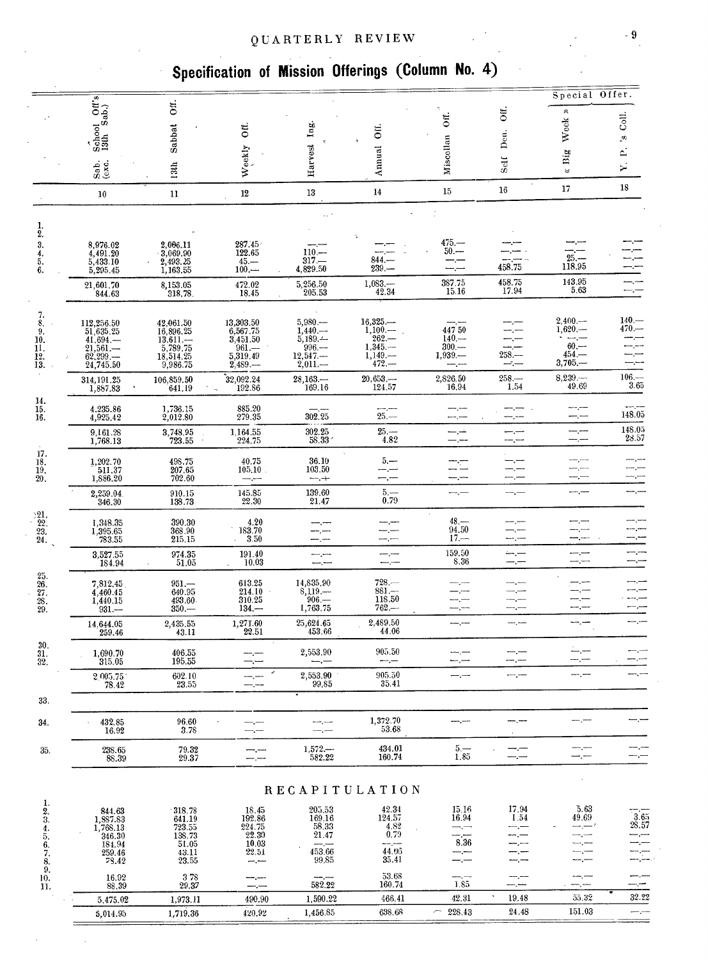#### QUARTERLY REVIEW 9

## **Specification of Mission Offerings (Column No. 4)**

|                                                             |                                                                                                                             |                                                                  |                                                          |                                     |                                                |                                                |                                   | Special Offer.                                          |                                     |
|-------------------------------------------------------------|-----------------------------------------------------------------------------------------------------------------------------|------------------------------------------------------------------|----------------------------------------------------------|-------------------------------------|------------------------------------------------|------------------------------------------------|-----------------------------------|---------------------------------------------------------|-------------------------------------|
|                                                             | $\begin{array}{cc}\n\dot{\cdot} & \text{of } \\ \n\text{School} & \text{Off's} \\ \n\text{13th} & \text{Sab.}\n\end{array}$ | Off.                                                             |                                                          |                                     |                                                |                                                | ΟĨΙ.                              | $\approx$                                               |                                     |
|                                                             |                                                                                                                             |                                                                  | $\ddot{\rm o}$                                           | Ing.                                | δÏ.                                            | $\overline{\rm on}$                            |                                   | Week                                                    | Coll.                               |
|                                                             |                                                                                                                             | Sabbat                                                           |                                                          |                                     |                                                |                                                | Den.                              |                                                         | ø<br>≏                              |
|                                                             | Sab.<br>(exc.                                                                                                               | 13th                                                             | Weekly                                                   | Harvest                             | Annual                                         | Miscollan                                      | Solf                              | Big<br>ৼ                                                | ≻                                   |
|                                                             | 10                                                                                                                          | 11                                                               | $12\,$                                                   | 13                                  | 14                                             | 15                                             | 16                                | 17                                                      | 18                                  |
|                                                             |                                                                                                                             |                                                                  |                                                          |                                     |                                                |                                                |                                   |                                                         |                                     |
| 1.<br>2.                                                    |                                                                                                                             |                                                                  | 287.45                                                   |                                     |                                                | $475 -$                                        |                                   |                                                         |                                     |
| 3.<br>$\frac{4}{5}$ .                                       | $\substack{8,976.02\\4,491.20}$<br>5,433.10                                                                                 | $\begin{array}{c} 2,006.11 \\ 3,069.90 \end{array}$<br>2,493.25  | 122.65                                                   | $110 -$<br>$317-$                   | 844.                                           | $50 -$                                         |                                   | $\begin{array}{c} 25 \ \text{--} \\ 118.95 \end{array}$ |                                     |
| 6.                                                          | 5,295.45                                                                                                                    | 1,163.55                                                         | $\frac{45. -}{100. -}$                                   | 4,829.50                            | 239.                                           |                                                | 458.75<br>458.75                  |                                                         |                                     |
|                                                             | 21,601.70<br>844.63                                                                                                         | $8,153.05$<br>318.78                                             | 472.02<br>18.45                                          | 5,256.50<br>205.53                  | $\begin{array}{r} 1,083- \\ 42.34 \end{array}$ | $\begin{array}{c} 387.75 \\ 15.16 \end{array}$ | 17.94                             | $\begin{array}{c} 143.95 \\ 5.63 \end{array}$           | $ -$                                |
| $\begin{smallmatrix}7\\8\end{smallmatrix}$                  | 112,256.50                                                                                                                  | 42,061.50                                                        | 13,303.50                                                | $5,980-$                            | $16,325-$                                      |                                                |                                   | $2,400, -$                                              | $140-$                              |
| 9.<br>10.                                                   | $\frac{51,635.25}{41.694}$                                                                                                  | 16,896.25<br>$13,611-5,789.75$                                   | 6,567.75<br>3,451.50                                     | $1,440$ .<br>$5,189-$               | $1,100-$<br>$262-$                             | 44750<br>$140 -$                               | —.—                               | $1,620. -$                                              | 470.—                               |
| 11.<br>$\frac{12}{13}$                                      | $21,561-$<br>62,299                                                                                                         | 18,514.25                                                        | $^{961}_{5,319.49}$                                      | 996.<br>$12,547-$                   | $1,345-$<br>$1,149-$                           | $300 -$<br>$1,939-$                            | سرحت<br>$258. -$                  | $60$ .<br>$454-$                                        |                                     |
|                                                             | 24,745.50<br>314, 191.25                                                                                                    | 9,986.75<br>106,859.50                                           | 2,489                                                    | $2,011-$<br>28,163                  | $472 -$<br>20,653                              | 2,826.50                                       | سيتسد<br>$258-$                   | $3,705-$<br>8,239                                       | -----<br>$106. -$                   |
| 14.                                                         | 1,887.83                                                                                                                    | 641.19                                                           | $\overset{5}{2}2,092.24 \ \ \ \ \ \ 192.86$              | 169.16                              | 124.57                                         | 16.94                                          | 1.54                              | 49.69                                                   | 3.65                                |
| $\frac{15}{16}$                                             | 4.235.86<br>4,925.42                                                                                                        | 1,736.15<br>2,012.80                                             | $\substack{885.20 \\ 279.35}$                            | 302.25                              | $25 -$                                         |                                                | —— <u>——</u><br>--.---            | --.--                                                   | 148.05                              |
|                                                             | 9,161.28<br>1,768.13                                                                                                        | 3,748.95<br>723.55                                               | 1,164.55<br>224.75                                       | $\underset{58.33}{\textbf{302.25}}$ | $25 -$<br>4.82                                 | کنر ک<br>—,—                                   | --------                          | ---<br>--.---                                           | $\underset{28.57}{\textbf{148.05}}$ |
| 17.<br>18.                                                  | 1,202.70                                                                                                                    | 498.75<br>207.65                                                 | 40.75                                                    | 36.10                               | $5 -$                                          | $\mathbb{R}$                                   |                                   |                                                         |                                     |
| $\frac{19}{20}$ .                                           | 511.37<br>1,886.20                                                                                                          | 702.60                                                           | 105.10                                                   | 103.50<br>سپس سب                    | –.—                                            | —.—                                            |                                   | --<br>—,—                                               |                                     |
|                                                             | 2,259.04<br>346.30                                                                                                          | $\begin{array}{c} 910.15 \\ 138.73 \end{array}$                  | $\substack{145.85 \\ 22.30}$                             | 139.60<br>21.47                     | 5.<br>0.79                                     |                                                |                                   |                                                         |                                     |
| $\frac{21}{22}$<br>$\frac{22}{23}$<br>$24$                  | 1,348.35                                                                                                                    | 390.30                                                           | 4.20<br>183.70                                           |                                     |                                                | $\sim$<br>$48 -$<br>94.50                      |                                   |                                                         |                                     |
|                                                             | 1,395.65<br>783.55                                                                                                          | 368.90<br>215.15                                                 | 3.50                                                     |                                     |                                                | $17 -$                                         | ---.---                           |                                                         |                                     |
|                                                             | $\begin{array}{c} 3{,}527{,}55 \\ 184.94 \end{array}$                                                                       | 974.35<br>51.05                                                  | 191.40<br>10.03                                          | ----                                | ---                                            | $\begin{array}{c} 159.50 \\ 8.36 \end{array}$  | نسرست<br>-- -                     | مسرسة<br>---                                            |                                     |
| $\frac{25}{26}$ .<br>$\frac{25}{28}$ .<br>$\frac{28}{29}$ . | 7,812,45                                                                                                                    | $951 -$                                                          | 613.25<br>214.10                                         | 14,835,90<br>$8,119-$               | $728-$<br>$881 -$                              |                                                |                                   | -- -                                                    |                                     |
|                                                             | 4,460.45<br>1,440.15<br>$931 -$                                                                                             | 640.95<br>493.60<br>$350 -$                                      | 310.25<br>$134 -$                                        | $^{906}_{1,763.75}$                 | 118.50<br>762.—                                | –.—<br>-.--                                    | —,—                               |                                                         |                                     |
|                                                             | 14,644.05<br>259.46                                                                                                         | 2,435.55<br>43.11                                                | 1,271.60<br>22.51                                        | 25,624.65<br>453.66                 | 2,489.50<br>44.06                              |                                                | ---.----                          |                                                         |                                     |
| 30.<br>31.                                                  | 1,690.70                                                                                                                    | 406.55                                                           |                                                          | 2,553.90                            | 905.50                                         |                                                |                                   |                                                         |                                     |
| 32.                                                         | 315.05                                                                                                                      | 195.55<br>602.10                                                 | $\epsilon$                                               | 2,553.90                            | --<br>905.50                                   | ۳.,<br>للمسركت                                 |                                   | $-\cdot$                                                |                                     |
|                                                             | $\begin{array}{c} 2.005.75 \\ 78.42 \end{array}$                                                                            | 23.55                                                            | $-$ , $-$                                                | 99.85                               | 35.41                                          |                                                |                                   |                                                         |                                     |
| 33.                                                         |                                                                                                                             |                                                                  |                                                          |                                     | 1,372.70                                       |                                                |                                   |                                                         |                                     |
| 34.                                                         | 432.85<br>16.92                                                                                                             | 96.60<br>3.78                                                    | --.---                                                   | $-,-$                               | 53.68                                          |                                                |                                   |                                                         |                                     |
| 35.                                                         | 238.65<br>88.39                                                                                                             | 79.32<br>29.37                                                   | —,—<br>مسمرد                                             | $1,572-$<br>582.22                  | 434.01<br>160.74                               | $\overline{\stackrel{5}{1.85}}$                | --<br>—,—                         | — <del>—</del>                                          |                                     |
|                                                             |                                                                                                                             |                                                                  |                                                          |                                     | <b>RECAPITULATION</b>                          |                                                |                                   |                                                         |                                     |
| 1.                                                          |                                                                                                                             |                                                                  | 18.45                                                    | 205.53                              |                                                | 15.16                                          |                                   | 5.63                                                    |                                     |
| $\frac{2}{3}$                                               | $844.63$<br>1,887.83<br>1,768.13                                                                                            | $\begin{array}{c} \n 318.78 \\  641.19 \\  723.55\n \end{array}$ | $\begin{array}{r} 192.86 \\ 224.75 \\ 22.30 \end{array}$ | 169.16<br>58.33                     | $\substack{42.34\\124.57}$<br>4.82             | 16.94                                          | $\underset{1.54}{\textbf{17.94}}$ | 49.69                                                   | 3.65<br>28.57                       |
|                                                             | 346.30<br>184.94                                                                                                            | 138.73<br>51.05                                                  | 10.03                                                    | 21.47                               | 0.79<br>مسر مستعد                              | 8.36                                           |                                   | ---<br>— <u>, — ,</u>                                   |                                     |
| $\frac{4}{5}$ , $\frac{6}{7}$ , $\frac{7}{8}$ ,             | 259.46<br>78.42                                                                                                             | 43.11<br>23.55                                                   | 22.51<br>—. <del>—</del>                                 | 453.66<br>99.85                     | 44.06<br>35.41                                 | --.--                                          |                                   | — ,—                                                    |                                     |
| 10.                                                         | 16.92                                                                                                                       | 378                                                              | anan jawan                                               |                                     | 53.68                                          | ----                                           |                                   |                                                         |                                     |
| 11.                                                         | 88,39                                                                                                                       | 29.37<br>1,973.11                                                | —.—<br>490.90                                            | 582.22<br>1,590.22                  | 160.74<br>466.41                               | 1.85<br>42.31                                  | ----,----<br>19.48                | 55.32                                                   | 32.22                               |
|                                                             | 5,475.02<br>5,014.95                                                                                                        | 1,719.36                                                         | 420.92                                                   | 1,456.85                            | 638.68                                         | 228.43<br>$\overline{\phantom{a}}$             | 24.48                             | 151.03                                                  |                                     |
|                                                             |                                                                                                                             |                                                                  |                                                          |                                     |                                                |                                                |                                   |                                                         |                                     |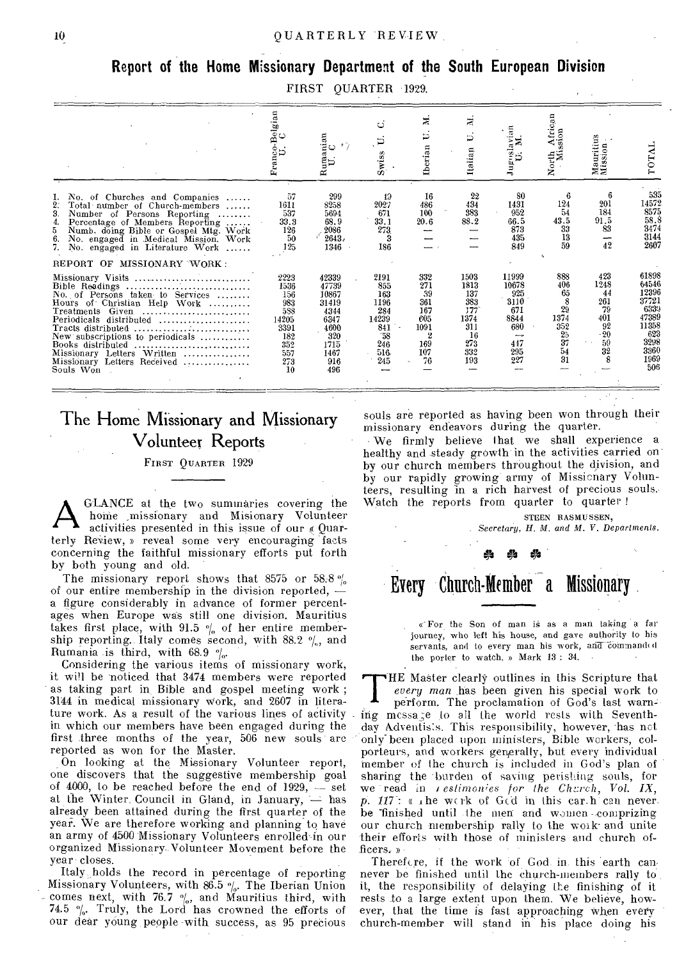#### Report of the Home Missionary Department of the South European Division

FIRST QUARTER 1929.

|                                                                                                                                                                                                                                                                                                                          | Franco-Belgian<br>U. C                                                               | $\lim_{\mathbf{U}\in\mathbf{C}}\min_{\mathbf{U}}% \mathbf{U}(\mathbf{U})\equiv\lim_{\mathbf{U}\in\mathbf{C}}\mathbf{U}(\mathbf{U})\equiv\mathbf{U}(\mathbf{U})\equiv\mathbf{U}(\mathbf{U})\equiv\mathbf{U}(\mathbf{U})\equiv\mathbf{U}(\mathbf{U})\equiv\mathbf{U}(\mathbf{U})\equiv\mathbf{U}(\mathbf{U})\equiv\mathbf{U}(\mathbf{U})\equiv\mathbf{U}(\mathbf{U})\equiv\mathbf{U}(\mathbf{U})\equiv\mathbf{U}(\mathbf{U})\equiv\mathbf{U}(\mathbf{$<br>œ | Swiss                                                                         | ≍<br><b>Iberian</b>                                                               | ≍<br>₽<br>Italian                                                           | Jugoslavian<br>U. M.                                                            | African<br>sion<br>North<br>Mi                                       | auritius<br>Ission<br>ΞĒ                                         | Ë                                                                                                |
|--------------------------------------------------------------------------------------------------------------------------------------------------------------------------------------------------------------------------------------------------------------------------------------------------------------------------|--------------------------------------------------------------------------------------|-----------------------------------------------------------------------------------------------------------------------------------------------------------------------------------------------------------------------------------------------------------------------------------------------------------------------------------------------------------------------------------------------------------------------------------------------------------|-------------------------------------------------------------------------------|-----------------------------------------------------------------------------------|-----------------------------------------------------------------------------|---------------------------------------------------------------------------------|----------------------------------------------------------------------|------------------------------------------------------------------|--------------------------------------------------------------------------------------------------|
| No. of Churches and Companies<br>2.<br>Total number of Church-members<br>3.<br>Number of Persons Reporting<br>4.<br>Percentage of Members Reporting<br>5<br>Numb. doing Bible or Gospel Mtg. Work<br>6.<br>No. engaged in Medical Mission. Work<br>No. engaged in Literature Work                                        | 57<br>1611<br>537<br>33.3<br>126<br>50<br>125                                        | 299<br>8258<br>5694<br>68.9<br>2086<br>2643.<br>1346                                                                                                                                                                                                                                                                                                                                                                                                      | 49<br>2027<br>671<br>33.1<br>273<br>3<br>186                                  | 16<br>486<br>100<br>20.6                                                          | 22<br>434<br>383<br>88.2                                                    | 80<br>1431<br>952<br>66.5<br>873<br>435<br>849                                  | -6<br>124<br>54<br>43.5<br>33<br>13<br>59                            | 201<br>184<br>91.5<br>83<br>42                                   | 535<br>14572<br>8575<br>58.8<br>3474<br>3144<br>2607                                             |
| REPORT OF MISSIONARY WORK:<br>Bible Readings<br>No. of Persons taken to Services<br>Hours of Christian Help Work<br>Treatments Given<br>Periodicals distributed<br>Tracts distributed<br>New subscriptions to periodicals<br>Books distributed<br>Missionary Letters Written<br>Missionary Letters Received<br>Souls Won | 2223<br>1536<br>156<br>983<br>588<br>14205<br>3391<br>182<br>352<br>557<br>273<br>10 | 42339<br>47739<br>10867<br>31419<br>4344<br>6347<br>4600<br>320<br>1715<br>1467<br>916<br>496                                                                                                                                                                                                                                                                                                                                                             | 2191<br>855<br>163<br>1196<br>284<br>14239<br>841<br>-58<br>246<br>516<br>245 | 332<br>271<br>39<br>361<br>167<br>£05<br>1091<br>$\mathbf{2}$<br>169<br>107<br>76 | 1503<br>1813<br>137<br>383<br>177<br>1374<br>311<br>16<br>273<br>332<br>193 | 11999<br>10678<br>925<br>3110<br>671<br>8844<br>680<br>---<br>447<br>295<br>227 | 888<br>406<br>65<br>29<br>1374<br>352<br>$\frac{25}{37}$<br>54<br>31 | 423<br>1248<br>44<br>261<br>79<br>401<br>92<br>$-20$<br>59<br>32 | 61898<br>64546<br>12396<br>37721<br>6339<br>47389<br>11358<br>623<br>3298<br>3360<br>1969<br>506 |

#### The Home Missionary and Missionary Volunteer Reports

FIRST QUARTER 1929

A GLANCE at the two summaries covering the home ,missionary and Misionary Volunteer activities presented in this issue of our  $\epsilon$  Quarterly Review, » reveal some very encouraging facts concerning the faithful missionary efforts put forth by both young and old.

The missionary report shows that 8575 or 58.8  $\frac{9}{10}$ of our entire membership in the division reported, a figure considerably in advance of former percentages when Europe was still one division. Mauritius takes first place, with 91.5  $\frac{0}{10}$  of her entire membership reporting. Italy comes second, with 88.2  $\frac{0}{10}$ , and Rumania is third, with 68.9  $\frac{6}{10}$ .

Considering the various items of missionary work, it will be noticed that 3474 members were reported as taking part in Bible and gospel meeting work ; 3144 in medical missionary work, and 2607 in literature work. As a result of the various lines of activity in which our members have been engaged during the first three months of the year, 506 new souls are reported as won for the Master.

On looking at the Missionary Volunteer report, one discovers that the suggestive membership goal of  $4000$ , to be reached before the end of  $1929$ ,  $-$  set at the Winter, Council in Gland, in January, — has already been attained during the first quarter of the year. We are therefore working and planning to have an army of 4500 Missionary Volunteers enrolled-in our organized Missionary. Volunteer Movement before the year- closes.

Italy holds the record in percentage of reporting Missionary Volunteers, with 86.5  $\frac{1}{10}$ . The Iberian Union - comes next, with 76.7  $\frac{9}{90}$ , and Mauritius third, with 74.5  $\frac{1}{6}$ . Truly, the Lord has crowned the efforts of our dear young people -with success, as 95 precious

souls are reported as having been won through their

missionary endeavors during the quarter. We firmly believe that we shall experience a healthy and steady growth in the activities carried on by our church members throughout the division, and by our rapidly growing army of Missionary Volunteers, resulting in a rich harvest of precious souls. Watch the reports from quarter to quarter !

> STEEN RASMUSSEN, *Secretary, H. M. and M. V. Departments.*

## Every Church-Member a Missionary

a For the Son of man is as a man taking a far journey, who left his house, and gave authority to his servants, and to every man his work, and commanded the porter to watch. » Mark 13: 34.

**T** HE Master clearly outlines in this Scripture that every man has been given his special work to perform. The proclamation of God's last warning message to all the world rests with Seventhday Adventists. This responsibility, however, has not only' been placed upon ministers, Bible workers, colporteurs, and workers generally, but every individual member of the church is included in God's plan of sharing the burden of saving perishing souls, for we read in *i estimonies for the Charch*, Vol. IX, *p. 117* : a she work of God in this car.h can never. be finished until the men and women comprizing our church membership rally to the work and unite their efforts with those of ministers and church officers, »

Therefore, if the work of God in this earth cannever be finished until the church-members rally to . it, the responsibility of delaying the finishing of it rests to a large extent upon them. We believe, however, that the time is fast approaching when every church-member will stand in his place doing his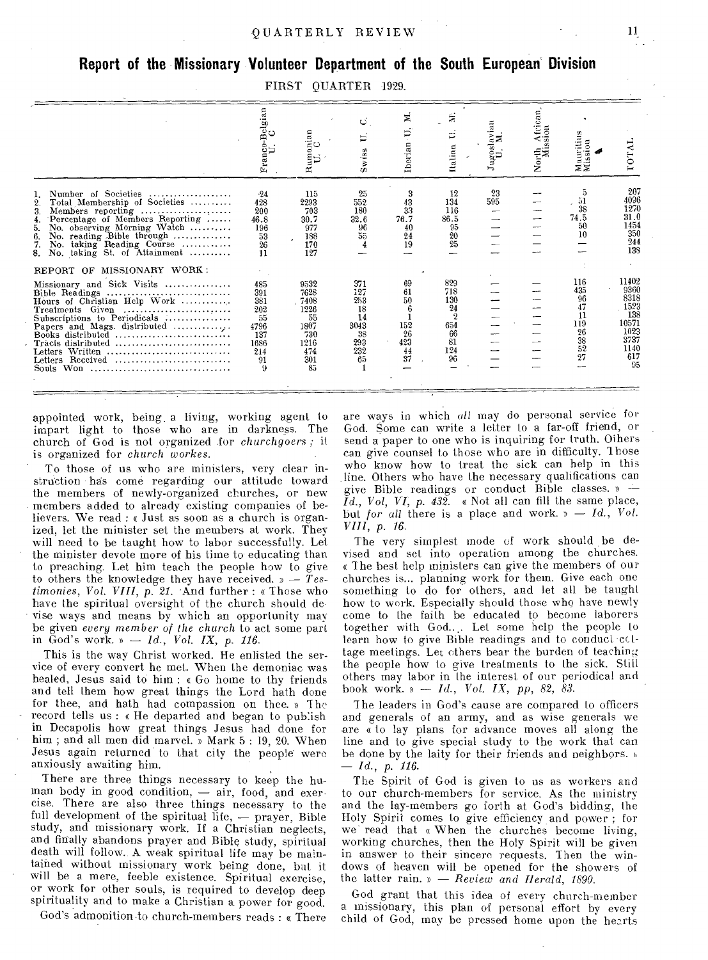### **Report of the Missionary Volunteer Department of the South European Division**

| $\rm FIRST$ | <b>OUARTER</b> | 1929. |
|-------------|----------------|-------|
|-------------|----------------|-------|

|                                                                                                                                                                                                                                                                                    | Franco-Belgi<br>U. C                                                    | $\begin{array}{c} \text{tuma} \\ \text{U.} \end{array} \begin{array}{c} \text{C} \end{array}$<br>≃ | ت<br>$Sw$ <sub>188</sub>                                        | Ξ<br>Þ<br>Iberian                              | ż<br>Þ<br>Italian<br>$\epsilon$                                           | Jugoslaviau | ÀÈ<br>ssion<br>š<br>North | ssion<br>auriti<br>ΞΞ                                       | LOTAI                                                                              |
|------------------------------------------------------------------------------------------------------------------------------------------------------------------------------------------------------------------------------------------------------------------------------------|-------------------------------------------------------------------------|----------------------------------------------------------------------------------------------------|-----------------------------------------------------------------|------------------------------------------------|---------------------------------------------------------------------------|-------------|---------------------------|-------------------------------------------------------------|------------------------------------------------------------------------------------|
| Number of Societies<br>Total Membership of Societies<br>2.<br>3.<br>Members reporting<br>Percentage of Members Reporting<br>4.<br>No. observing Morning Watch<br>5.<br>No. reading Bible through<br>6.<br>7.<br>taking Reading Course<br>No.<br>No. taking St. of Attainment<br>8. | $-24$<br>428<br>200<br>46.8<br>196<br>$\frac{53}{26}$<br>11             | 115<br>2293<br>703<br>30.7<br>977<br>188<br>170<br>127                                             | 25<br>552<br>180<br>32.6<br>96<br>55                            | 3<br>43<br>33<br>76.7<br>40<br>24<br>19        | 12<br>134<br>116<br>86.5<br>95<br>20<br>25                                | 23<br>595   |                           | 5<br>$\frac{51}{38}$<br>74.5<br>50<br>10                    | 207<br>4096<br>1270<br>31.0<br>1454<br>350<br>244<br>138                           |
| MISSIONARY WORK:<br>REPORT OF                                                                                                                                                                                                                                                      |                                                                         |                                                                                                    |                                                                 |                                                |                                                                           |             |                           |                                                             |                                                                                    |
| Missionary and Sick Visits<br>Hours of Christian Help Work<br>Treatments Given<br>Papers and Mags. distributed<br>Books distributed $\ldots, \ldots, \ldots, \ldots, \ldots, \ldots$<br>Tracts distributed<br>Letters Written<br>Letters Received<br>Won<br><b>Souls</b>           | 485<br>391<br>381<br>202<br>55<br>4796<br>137<br>1686<br>214<br>91<br>9 | 9532<br>7628<br>7408<br>1226<br>55<br>1807<br>730<br>1216<br>474<br>301<br>85                      | 371<br>127<br>253<br>18<br>14<br>3043<br>38<br>293<br>232<br>65 | 69<br>61<br>50<br>152<br>26<br>423<br>44<br>37 | 829<br>718<br>130<br>24<br>$\overline{2}$<br>654<br>66<br>81<br>124<br>96 |             |                           | 116<br>435<br>96<br>47<br>11<br>119<br>26<br>38<br>52<br>27 | 11402<br>9360<br>8318<br>1523<br>138<br>10571<br>1023<br>3737<br>1140<br>617<br>95 |

appointed work, being. a living, working agent to impart light to those who are in darkness. The church of God is not organized for *churchgoers ;* it is organized for *church workes.* 

To those of us who are ministers, very clear instruction has come regarding our attitude toward the members of newly-organized churches, or new members added to already existing companies of believers. We read : « Just as soon as a church is organized, let the minister set the members at work. They will need to be taught how to labor successfully. Let the minister devote more of his time to educating than to preaching. Let him teach the people how to give to others the knowledge they have received. » — *Testimonies, Vol. VIII, p. 21.* .And further : « These who have the spiritual oversight of the church should de- - vise ways and means by which an opportunity may be given *every member of the church* to act some part in God's work. » *Id., Vol. IX, p. 116.* 

This is the way Christ worked. He enlisted the service of every convert he met. When the demoniac was healed, Jesus said to him : « Go home to thy friends and tell them how great things the Lord bath done for thee, and hath had compassion on thee. » 1 he record tells us : « He departed and began to pub:ish in Decapolis how great things Jesus had done for him ; and all men did marvel. » Mark 5 : 19, 20. When Jesus again returned to that city the people were anxiously awaiting him.

There are three things necessary to keep the human body in good condition, — air, food, and exercise. There are also three things necessary to the full development of the spiritual  $\bar{h}$ fe,  $-$  prayer, Bible study, and missionary work. If a Christian neglects, and finally abandons prayer and Bible study, spiritual death will follow.. A weak spiritual life may be maintained without missionary work being done, but it will be a mere, feeble existence. Spiritual exercise, or work for other souls, is required to develop deep spirituality and to make a Christian a power for good.

God's admonition to church-members reads : « There

are ways in which *all* may do personal service for God. Some can write a letter to a far-off friend, or send a paper to one who is inquiring for truth. Others can give counsel to those who are in difficulty. Those who know how to treat the sick can help in this line. Others who have the necessary qualifications can give Bible readings or conduct Bible classes. »  $\widetilde{Id}$ ., Vol, VI, p.  $43\widetilde{2}$ . « Not all can fill the same place, but *for all* there is a place and work. » — *Id., Vol. VIII, p.* 16.

The very simplest mode of work should be devised and set into operation among the churches. « The best help ministers can give the members of our churches is... planning work for them. Give each one something to do for others, and let all be taught how to work. Especially should those who have newly come to the faith be educated to become laborers together with God.... Let some help the people to learn how to give Bible readings and to conduct coltage meetings. Let others bear the burden of teaching the people how to give treatments to the sick. Still others may labor in the interest of our periodical and book work. » — *Id., Vol. IX, pp,* 82, *83.* 

The leaders in God's cause are compared to officers and generals of an army, and as wise generals we are « to lay plans for advance moves all along the line and to give special study to the work that can be done by the laity for their friends and neighbors.  $\nu$ *— Id.,* p. *116.* 

The Spirit of God is given to us as workers and to our church-members for service. As the ministry and the lay-members go forth at God's bidding, the Holy Spirit comes to give efficiency and power ; for we read that « When the churches become living, working churches, then the Holy Spirit will be given in answer to their sincere requests. Then the windows of heaven will be opened for the showers of the latter rain. » — *Review and Herald, 1890.* 

God grant that this idea of every church-member a missionary, this plan of personal effort by every child of God, may be pressed home upon the hearts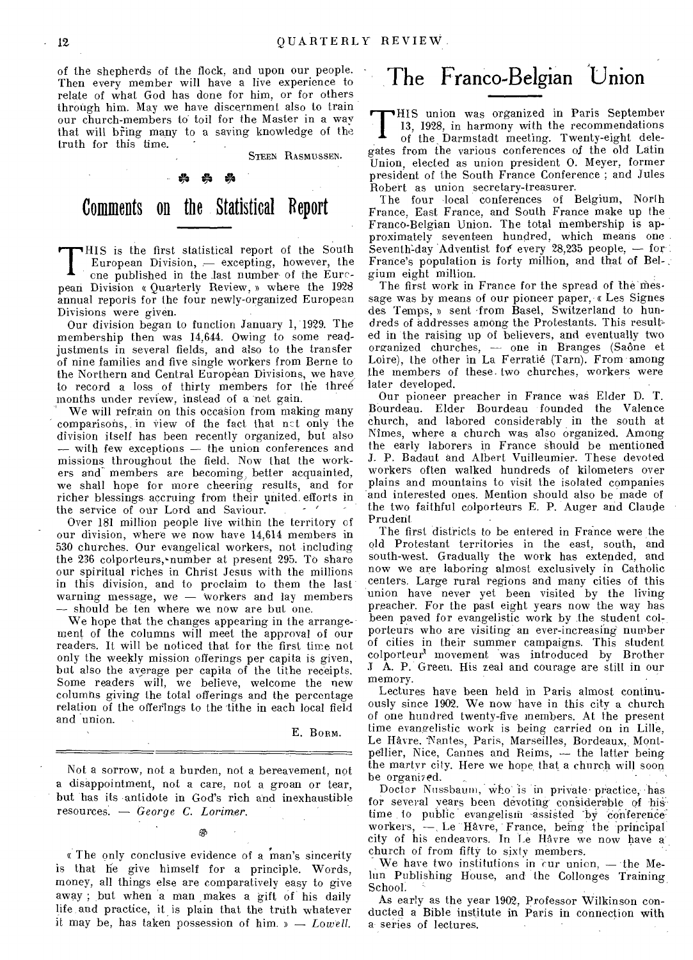of the shepherds of the flock, and upon our people. Then every member will have a live experience to relate of what God has done for him, or for others through him. May we have discernment also to train our church-members to toil for the Master in a way that will bring many to a saving knowledge of the truth for this time.

STEEN RASMUSSEN.

### \* \* \* Comments on the Statistical Report

**T** HIS is the first statistical report of the South European Division,  $-$  excepting, however, the one published in the last number of the Eurepean Division « Quarterly Review, » where the 1928 annual reports for the four newly-organized European Divisions were given.

Our division began to function January 1, 1929. The membership then was 14,644. Owing to some readjustments in several fields, and also to the transfer of nine families and five single workers from Berne to the Northern and Central European Divisions, we have to record a loss of thirty members for the three months under review, instead of a net gain.

We will refrain on this occasion from making many comparisons, in view of the fact that nct only the division itself has been recently organized, but also — with few exceptions — the union conferences and missions throughout the field. Now that the workers and members are becoming; better acquainted, we shall hope for more cheering results, and for richer blessings accruing from their united. efforts in the service of our Lord and Saviour.

Over 181 million people live within the territory of our division, where we now have 14,614 members in 530 churches. Our evangelical workers, not including the 236 colporteurs, number at present 295. To share our spiritual riches in Christ Jesus with the millions in this division, and to proclaim to them the last warning message, we — Workers and lay members — should be ten where we now are but one.

We hope that the changes appearing in the arrangement of the columns will meet the approval of our readers. It will be noticed that for the first time not only the weekly mission offerings per capita is given, but also the average per capita of the tithe receipts. Some readers will, we believe, welcome the new columns giving the total offerings and the percentage relation of the offerings to the tithe in each local field and union.

#### E. Bonn.

Not a sorrow, not a burden, not a bereavement, not a disappointment, not a care, not a groan or tear, but has its antidote in God's rich and inexhaustible resources. — *George C. Lorimer.* 

ക

« The only conclusive evidence of a man's sincerity is that he give himself for a principle. Words, money, all things else are comparatively easy to give away ; but when a man makes a gift of his daily life and practice, it is plain that the truth whatever it may be, has taken possession of him. » — *Lowell.* 

### The Franco-Belgian Union

HIS union was organized in Paris September 13, 1928, in harmony with the recommendations

**T** of the Darmstadt meeting. Twenty-eight delegates from the various conferences of the old Latin Union, elected as union president 0. Meyer, former president of the South France Conference ; and Jules Robert as union secretary-treasurer.

The four local conferences of Belgium, North France, East France, and South France make up the Franco-Belgian Union. The total membership is approximately seventeen hundred, which means one Seventh-day Adventist for every 28,235 people,  $-$  for France's population is forty million, and that of Bel- . gium eight million.

The first work in France for the spread of the message was by means of our pioneer paper, « Les Signes des Temps, » sent •from Basel, Switzerland to hundreds of addresses among the Protestants. This result= ed in the raising up of believers, and eventually two organized churches, — one in Branges (Saone et Loire), the other in La Ferratie (Tarn). From among the members of these. two churches, workers were later developed.

Our pioneer preacher in France was Elder D. T. Bourdeau. Elder Bourdeau founded the Valence church, and labored considerably in the south at Nimes, where a church was also organized. Among the early laborers in France should be mentioned J. P. Badaut and Albert Vuilleumier. These devoted workers often walked hundreds of kilometers over plains and mountains to visit the isolated companies and interested ones. Mention should also be made of the two faithful colporteurs E. P. Auger and Claude Prudent

The first districts to be entered in France were the old Protestant territories in the east, south, and south-west. Gradually the work has extended, and now we are laboring almost exclusively in Catholic centers. Large rural regions and many cities of this union have never yet been visited by the living preacher. For the past eight years now the way has been paved for evangelistic work by the student colporteurs who are visiting an ever-increasing number of cities in their summer campaigns. This student colporteur' movement was introduced by Brother J A. P. Green. His zeal and courage are still in our memory.

Lectures have been held in Paris almost continuously since 1902. We now have in this city a church of one hundred twenty-five members. At the present time evangelistic work is being carried on in Lille, Le Havre. 'Nantes, Paris, Marseilles, Bordeaux, Montpellier, Nice, Cannes and Reims, — the latter being the martyr city. Here we hone that a church will soon he organised.

Doctor Nussbaum, who is in private practice, has for several years been devoting considerable of histime to public evangelism assisted by conference workers, - Le Havre, France, being the principal city of his endeavors. In Le Havre we now have a church of from fifty to sixty members.

We have two institutions in cur union, — the Melun Publishing House, and the Collonges Training, School.

As early as the year 1902, Professor Wilkinson conducted a Bible institute in Paris in connection with a series of lectures.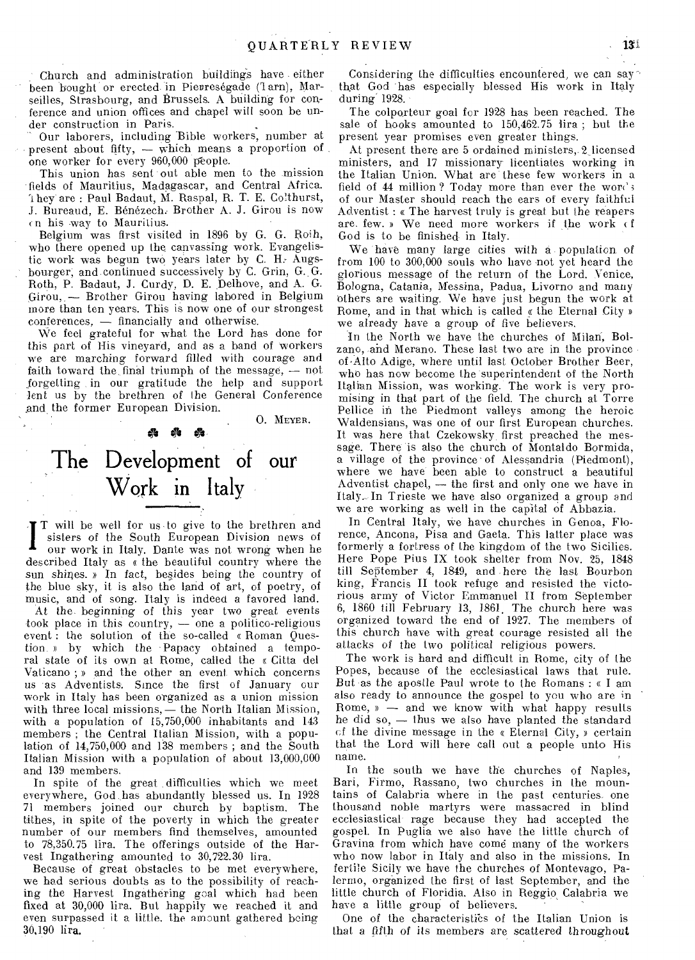Church and administration buildings have either been bought or erected in Pierreségade (1arn), Marseilles, Strasbourg, and Brussels. A building for conference and union offices and chapel will soon be under construction in Paris.

Our laborers, including Bible workers, number at present about fifty,  $-$  which means a proportion of one worker for every 960,000 people.

This union has sent out able men to the mission fields of Mauritius, Madagascar, and Central Africa. hey are : Paul Badaut, M. Raspal, R. T. E. Colthurst, J. Bureaud, E. Bénézech. Brother A. J. Girou is now n his way to Mauritius.

Belgium was first visited in 1896 by G. G. Roih, who there opened up the canvassing work. Evangelistic work was begun two years later by C. H.- Augsbourger, and continued successively by C. Grin, G. G. Roth, P. Badaut, J. Curdy, D. E. Delhove, and A. G. Girou, — Brother Girou having labored in Belgium more than ten years. This is now one of our strongest conferences, — financially and otherwise.

We feel grateful for what the Lord has done for this part of His vineyard, and as a band of workers we are marching forward filled with courage and faith toward the final triumph of the message, — not forgetting in our gratitude the help and support lent us by the brethren of the General Conference ,and the former European Division.

O. MEYER.

### The Development of our Work in Italy

**0** *Os* **0** 

/ T will be well for us to give to the brethren and sisters of the South European Division news of our work in Italy. Dante was not wrong when he described Italy as « the beautiful country where the sun shines. » In fact, besides being the country of the blue sky, it is also the land of art, of poetry, of music, and of song. Italy is indeed a favored land.

At the beginning of this year two great events took place in this country, — one a politico-religious event : the solution of the so-called « Roman Question. » by which the -Papacy obtained a temporal state of its own at Rome, called the « Citta del Vaticano ; » and the other an event which concerns us as Adventists. Since the first of January our work in Italy has been organized as a union mission with three local missions,— the North Italian Mission, with a population of 15,750,000 inhabitants and 143 members ; the Central Italian Mission, with a population of 14,750,000 and 138 members ; and the South Italian Mission with a population of about 13,000,000 and 139 members.

In spite of the great difficulties which we meet everywhere, God has abundantly blessed us. In 1928 71 members joined our church by baptism. The tithes, in spite of the poverty in which the greater number of our members find themselves, amounted to 78,350.75 lira. The offerings outside of the Harvest Ingathering amounted to 30,722.30 lira.

Because of great obstacles to be met everywhere, we had serious doubts as to the possibility of reaching the Harvest Ingathering goal which had been fixed at 30,000 lira. But happily we reached it and even surpassed it a little, the amount gathered being 30.190 lira.

Considering the difficulties encountered, we can say that God has especially blessed His work in Italy during 1928.

The colporteur goal for 1928 has been reached. The sale of books amounted to 150,462.75 lira ; but the present year promises even greater things.

At present there are 5 ordained ministers, 2 licensed ministers, and 17 missionary licentiates working in the Italian Union. What are these few workers in a field of 44 million? Today more than ever the words of our Master should reach the ears of every faithful Adventist : « The harvest truly is great but the reapers are. few. » We need more workers if the work of God is to be finished in Italy.

We have many *large* cities with a population, of from 100 to 300,000 souls who have -not yet heard the glorious message of the return of the Lord. Venice, Bologna, Catania, Messina, Padua, Livorno and many others are waiting. We have just begun the work at Rome, and in that which is called  $\kappa$  the Eternal City » we already have a group of five believers,

In the North we have the churches of Milan, Bolzano, and Merano. These last two are in the province of.Alto Adige, where until last October Brother Beer, who has now become the superintendent of the North Italian Mission, was working. The work is very promising in that part of the field. The church at Torre Pellice in the Piedmont valleys among the heroic Waldensians, was one of our first European churches. It was here that Czekowsky, first preached the message. There is also the church of Montaldo Bormida, a village of the province of Alessandria (Piedmont), where we have been able to construct a beautiful Adventist chapel., — the first and only one we have in Italy. In Trieste we have also organized a group and we are working as well in the capital of Abbazia.

In Central Italy, we have churches in Genoa, Florence, Ancona, Pisa and Gaeta. This latter place was formerly a fortress of the kingdom of the two Sicilies. Here Pope Pius IX took shelter from Nov. 25, 1848 till September 4, 1849, and here the last Bourbon king, Francis II took refuge and resisted the victorious army of Victor Emmanuel II from September 6, 1860 till February 13, 1861, The church here was organized toward the end of 1927. The members of this church have with great courage resisted all the attacks of the two political religious powers.

The work is hard and difficult in Rome, city of the Popes, because of the ecclesiastical laws that rule. But as the apostle Paul wrote to the Romans : « I am also ready to announce the gospel to you who are in Rome,  $\mathfrak{v}$   $\sim$  and we know with what happy results he did so, — thus we also have planted the standard cf the divine message in the « Eternal City, » certain that the Lord will here call out a people unto His name.

In the south we have the churches of Naples, Bari, Firmo, Rassano, two churches in the mountains of Calabria where in the past centuries, one thousand noble martyrs were massacred in blind ecclesiastical rage because they had accepted the gospel. In Puglia we also have the little church of Gravina from which have come many of the workers who now labor in Italy and also in the missions. In fertile Sicily we have the churches of Montevago, Palermo, organized the first of last September, and the little church of Floridia, Also in Reggio Calabria we have a little group of believers.

One of the characteristics of the Italian Union is that a fifth of its members are scattered throughout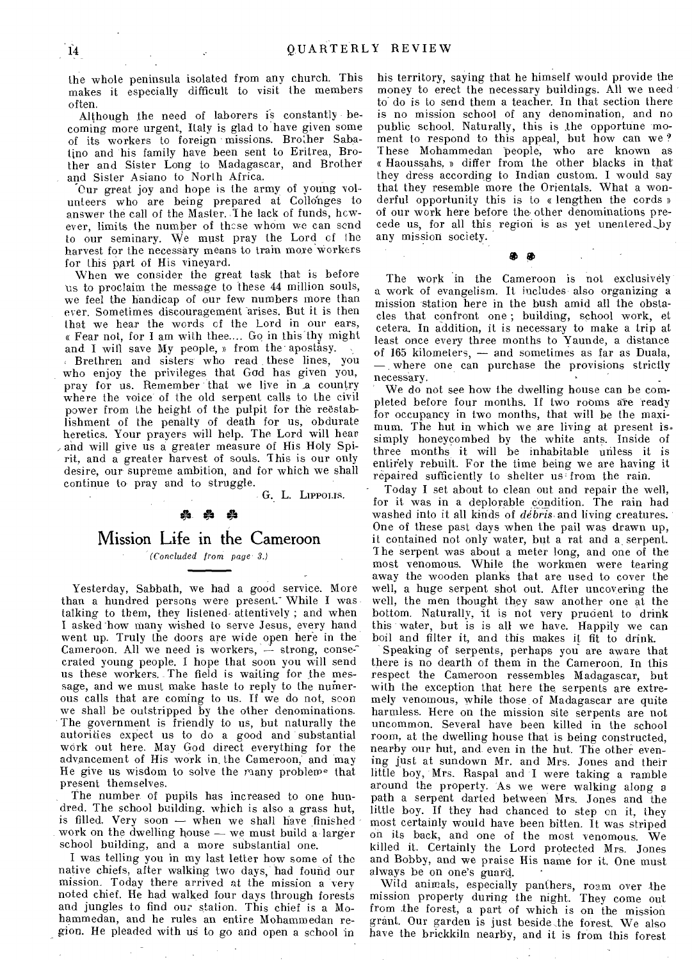the whole peninsula isolated from any church. This makes it especially difficult to visit the members often.

Although the need of laborers is constantly becoming more urgent, Italy is glad to have given some of its workers to foreign missions. Brother Sabatino and his family have been sent to Eritrea, Brother and Sister Long to Madagascar, and Brother and Sister Asiano to North Africa.

Our great joy and hope is the army of young volunteers who are being prepared at Collonges to answer the call of the Master. T he lack of funds, however, limits the number of those whom we can send to our seminary. We must pray the Lord cf the harvest for the necessary means to train more workers for this part of His vineyard.

When we consider the great task that is before us to proclaim the message to these 44 million souls, we feel the handicap of our few numbers more than ever. Sometimes discouragement arises. But it is then that we hear the words of the Lord in our ears, « Fear not, for I am with thee.... Go in this"thy might and I will save My people, a from the apostasy.

Brethren and sisters who read these lines, you who enjoy the privileges that God has given you, pray for us. Remember that we live in a country where the voice of the old serpent calls to the civil power from the height of the pulpit for the restablishment of the penalty of death for us, obdurate heretics. Your prayers will help. The Lord will hear and will give us a greater measure of His Holy Spirit, and a greater harvest of souls. This is our only desire, our supreme ambition, and for which we shall continue to pray and to struggle.

G. L. LIPPOLIS.

### ្គ<br>ស្គុ

#### Mission Life in the Cameroon

*(Concluded from page 3.)* 

Yesterday, Sabbath, we had a good service. More than a hundred persons were present. While I was talking to them, they listened, attentively ; and when I asked how many wished to serve Jesus, every hand went up. Truly the doors are wide open here in the Cameroon. All we need is workers,  $\div$  strong, consecrated young people. I hope that soon you will send us these workers. The field is waiting for the message, and we must make haste to reply to the numerous calls that are coming to us. If we do not, soon we shall be outstripped by the other denominations. The government is friendly to us, but naturally the autorities expect us to do a good and substantial work out here. May God direct everything for the advancement of His work in. the Cameroon, and may He give us wisdom to solve the many problem- that present themselves.

The number of pupils has increased to one hundred. The school building. which is also a grass hut, is filled. Very soon — when we shall have finished work on the dwelling house — we must build a larger school building, and a more substantial one.

I was telling you in my last letter how some of the native chiefs, after walking two days, had found our mission. Today there arrived at the mission a very noted chief. He had walked four days through forests and jungles to find our station. This chief is a Mohammedan, and he rules an entire Mohammedan region. He pleaded with us to go and open a school in his territory, saying that he himself would provide the money to erect the necessary buildings. All we need to do is to send them a teacher. In that section there is no mission school of any denomination, and no public school. Naturally, this is the opportune moment to respond to this appeal, but how can we ? These Mohammedan people, who are known as Haoussahs, » differ from the other blacks in that they dress according to Indian custom. I would say that they resemble more the Orientals. What a wonderful opportunity this is to « lengthen the cords » of our work here before the other denominations precede us, for all this region is as yet unentered\_by any mission society.

The work in the Cameroon is not exclusively a work of evangelism. It includes also organizing a mission station here in the bush amid all the obstacles that confront one ; building, school work, et cetera. In addition, it is necessary to make a trip at least once every three months to Yaunde, a distance of 165 kilometers, — and sometimes as far as Duala, — where one can purchase the provisions strictly necessary.

tiO tit

We do not see how the dwelling house can be completed before four months. If two rooms are ready for occupancy in two months, that will be the maximum. The hut in which we are living at present is simply honeycombed by the white ants. Inside of three months it will be inhabitable unless it is entirely rebuilt. For the time being we are having it repaired sufficiently to shelter us from the rain.

Today I set about to clean out and repair the well, for it was in a deplorable condition. The rain had washed into it all kinds of *debris* and living creatures. One of these past days when the pail was drawn up, it contained not only water, but a rat and a\_ serpent. The serpent was about a meter long, and one of the most venomous. While the workmen were tearing away the wooden planks that are used to cover the well, a huge serpent shot out. After uncovering the well, the men thought they saw another one at the bottom. Naturally, it is not very prudent to drink this water, but is is all we have. Happily we can boil and filter it, and this makes it fit to drink.

Speaking of serpents, perhaps you are aware that there is no dearth of them in the Cameroon. In this respect the Cameroon ressembles Madagascar, but with the exception that here the serpents are extremely venomous, while those of Madagascar are quite harmless. Here on the mission site serpents are not uncommon. Several have been killed in the school room, at the dwelling house that is being constructed, nearby our hut, and even in the hut. The other evening just at sundown Mr. and Mrs. Jones and their little boy, Mrs. Raspal and I were taking a ramble around the property. As we were walking along a path a serpent darted between Mrs. Jones and the little boy. If they had chanced to step en it, they most certainly would have been bitten. It was striped on its back, and one of the most venomous. We killed it. Certainly the Lord protected Mrs. Jones and Bobby, and we praise His name for it. One must always be on one's guard.

Wild animals, especially panthers, roam over the mission property during the night. They come out from the forest, a part of which is on the mission grant. Our garden is just beside the forest. We also have the brickkiln nearby, and it is from this forest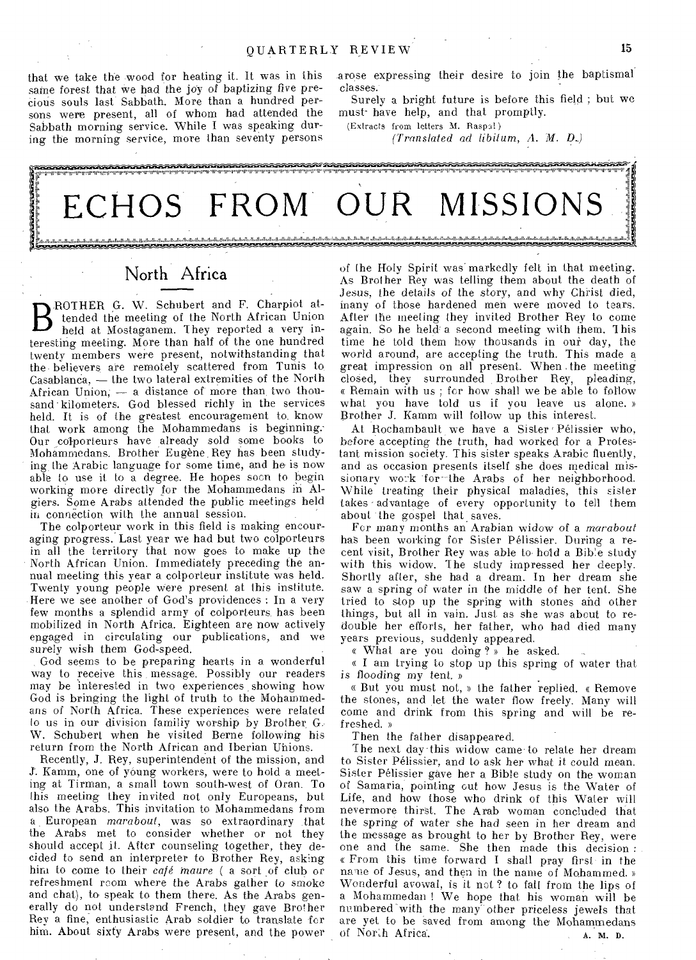that we take the wood for heating it. It was in this same forest that we had the joy of baptizing five precious souls last Sabbath. More than a hundred persons were present, all of whom had attended the Sabbath morning service. While I was speaking during the morning service, more than seventy persons .arose expressing their desire to join the baptismal classes:

Surely a bright future is before this field ; but we must-have help, and that promptly.

(Extracts from letters Al. Raspal )

*(Translated ad libitum,* A. *M.* D..)



#### North Africa

**D** lended the meeting of the North African emon ROTHER G. W. Schubert and F. Charpiot attended the meeting of the North African Union teresting meeting. More than half of the one hundred twenty members were present, notwithstanding that the believers are remotely scattered from Tunis to Casablanca, — the two lateral extremities of the North African Union, — a distance of more than two thousand kilometers. God blessed richly in the services held. It is of the greatest encouragement to, know that work among the Mohammedans is beginning: Our colporteurs have already sold some books to Mohammedans. Brother Eugène Rey has been studying the Arabic language for some time, and he is now able to use it to a degree. He hopes soon to begin working more directly for the Mohammedans in Algiers. Some Arabs attended the public meetings held in connection with the annual session.

The colporteur work in this field is making encouraging progress. Last year we had but two colporteurs in all the territory that now goes to make up the North African Union. Immediately preceding the annual meeting this year a colporteur institute was held. Twenty young people were present at this institute. Here we see another of God's providences : In a very few months a splendid army of colporteurs has been mobilized in North Africa. Eighteen are now actively engaged in circulating our publications, and we *surely* wish them God-speed.

God seems to be preparing hearts in a wonderful way to receive this message. Possibly our readers may be interested in two experiences showing how God is bringing the light of truth to the Mohammedans of North Africa. These experiences were related lo us in our division familiy worship by Brother. G.. W. Schubert when he visited Berne following his return from the North African and Iberian Unions.

Recently, J. Rey, superintendent of the mission, and J. Kamm, one of young workers, were to hold a meeting at Tirman, a small town south-west of Oran. To this meeting they invited not only Europeans, but also the Arabs. This invitation to Mohammedans from a European *marabout,* was so extraordinary that the Arabs met to consider whether or not they should accept it. After counseling together, they decided to send an interpreter to Brother Rey, asking him to come to their *café maure* (a sort of club or refreshment room where the Arabs gather to smoke and chat), to speak to them there. As the Arabs generally do not understand French, they gave Brother Rey a fine, enthusiastic Arab soldier to translate for him. About sixty Arabs were present, and the power of (he Holy Spirit was' markedly felt in that meeting. As Brother Rey was telling them about the death of Jesus, the details of the story, and why Christ died, inany of those hardened men were moved to tears. After the meeting they invited Brother Rey to come again. So he held" a second meeting with them. 1 his time he told them how thousands in our day, the world around, are accepting the truth. This made a great impression on all present. When the meeting closed, they surrounded Brother Rey, pleading, « Remain with us ; for how shall we be able to follow what you have told us if you leave us alone. » Brother J. Kamm will follow up this interest.

At Rochambault we have a Sister Pelissier who, before accepting the truth, had worked for a Protes tant mission society. This sister speaks Arabic fluently, and as occasion presents itself she does medical missionary work for the Arabs of her neighborhood. While treating their physical maladies, this sister takes advantage of every opportunity to tell them about the gospel that saves.

For many months an Arabian widow of a *marabout*  has been working for Sister Pelissier. During a recent visit, Brother Rey was able to hold a Bible study with this widow. The study impressed her deeply. Shortly after, she had a dream. In her dream she *saw* a spring of water in the middle of her tent. She tried to stop up the spring with stones and other things, but all in vain. Just as she was about to redouble her efforts, her father, who had died many years previous, suddenly appeared.

« What are you doing ? » he asked.

a I am trying to stop up this spring of water that is flooding my tent. »

« But you must not, » the father replied. « Remove the stones, and let the water flow freely. Many will come and drink from this spring and will be refreshed. »

Then the father disappeared.

The next day this widow came to relate her dream to Sister Pelissier, and to ask her what it could mean. Sister Pelissier gave her a Bible study on the woman of Samaria, pointing out how Jesus is the Water of Life, and how those who drink of this Water will nevermore thirst. The Arab woman concluded that the spring *of* water she had seen in her dream and the message as brought to her by Brother Rey, were one and the same. She then made this decision : « From this time forward I shall pray first in the name of Jesus, and then in the name of Mohammed. » Wonderful avowal, is it not ? to fall from the lips of a Mohammedan ! We hope that his woman will be numbered -with the many-other *priceless* jewels that are yet to be saved from among the Mohammedans of North Africa. A. M. D.